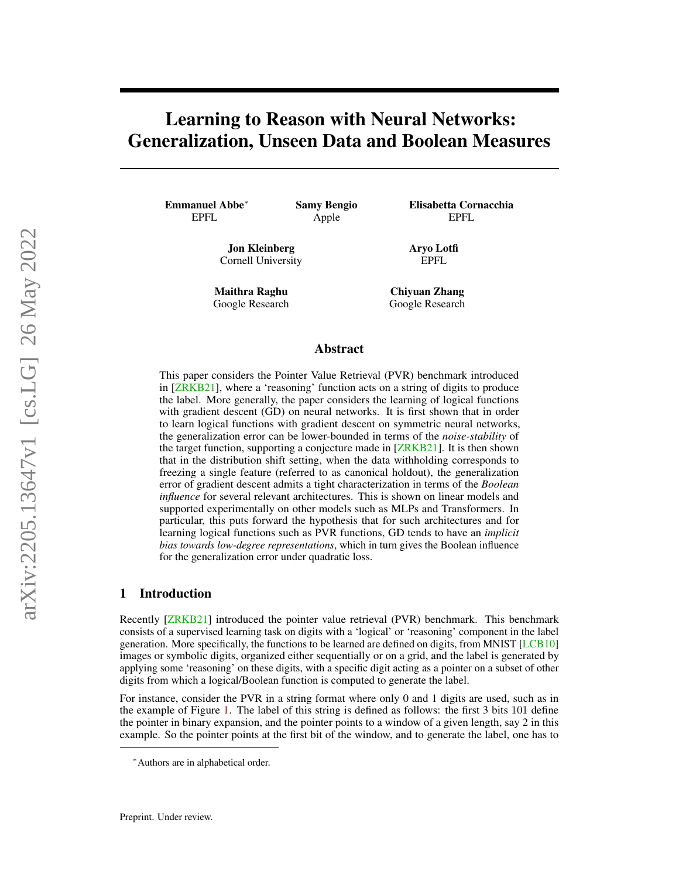# <span id="page-0-0"></span>Learning to Reason with Neural Networks: Generalization, Unseen Data and Boolean Measures

Emmanuel Abbe<sup>∗</sup> EPFL

Samy Bengio Apple

Jon Kleinberg Cornell University

Maithra Raghu Google Research Elisabetta Cornacchia EPFL

Aryo Lotfi EPFL

Chiyuan Zhang Google Research

## Abstract

This paper considers the Pointer Value Retrieval (PVR) benchmark introduced in [\[ZRKB21\]](#page-13-0), where a 'reasoning' function acts on a string of digits to produce the label. More generally, the paper considers the learning of logical functions with gradient descent (GD) on neural networks. It is first shown that in order to learn logical functions with gradient descent on symmetric neural networks, the generalization error can be lower-bounded in terms of the *noise-stability* of the target function, supporting a conjecture made in [\[ZRKB21\]](#page-13-0). It is then shown that in the distribution shift setting, when the data withholding corresponds to freezing a single feature (referred to as canonical holdout), the generalization error of gradient descent admits a tight characterization in terms of the *Boolean influence* for several relevant architectures. This is shown on linear models and supported experimentally on other models such as MLPs and Transformers. In particular, this puts forward the hypothesis that for such architectures and for learning logical functions such as PVR functions, GD tends to have an *implicit bias towards low-degree representations*, which in turn gives the Boolean influence for the generalization error under quadratic loss.

## 1 Introduction

Recently [\[ZRKB21\]](#page-13-0) introduced the pointer value retrieval (PVR) benchmark. This benchmark consists of a supervised learning task on digits with a 'logical' or 'reasoning' component in the label generation. More specifically, the functions to be learned are defined on digits, from MNIST [\[LCB10\]](#page-12-0) images or symbolic digits, organized either sequentially or on a grid, and the label is generated by applying some 'reasoning' on these digits, with a specific digit acting as a pointer on a subset of other digits from which a logical/Boolean function is computed to generate the label.

For instance, consider the PVR in a string format where only 0 and 1 digits are used, such as in the example of Figure [1.](#page-1-0) The label of this string is defined as follows: the first 3 bits 101 define the pointer in binary expansion, and the pointer points to a window of a given length, say 2 in this example. So the pointer points at the first bit of the window, and to generate the label, one has to

<sup>∗</sup>Authors are in alphabetical order.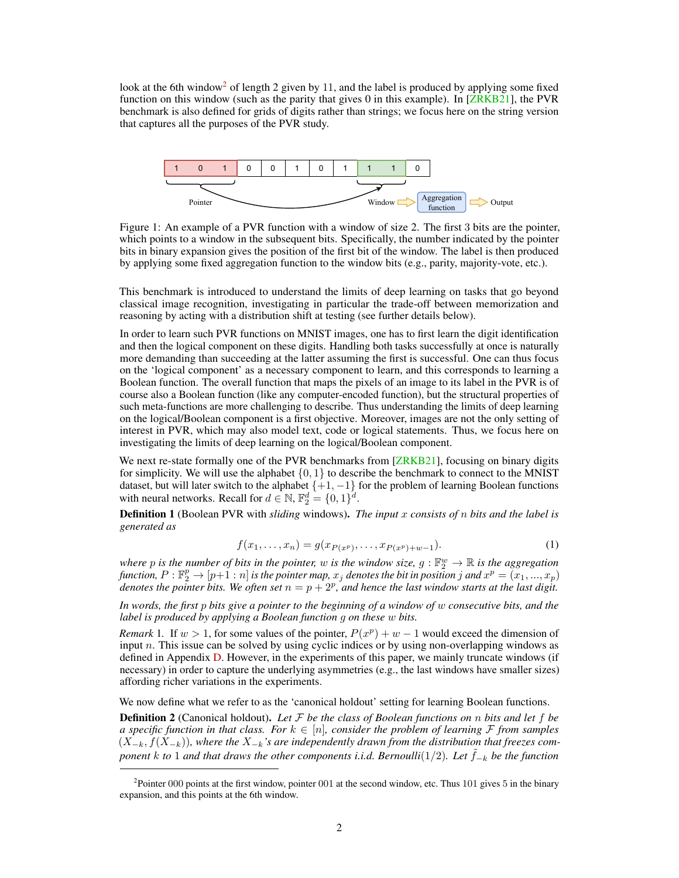<span id="page-1-4"></span>look at the 6th window<sup>[2](#page-1-1)</sup> of length 2 given by 11, and the label is produced by applying some fixed function on this window (such as the parity that gives 0 in this example). In [\[ZRKB21\]](#page-13-0), the PVR benchmark is also defined for grids of digits rather than strings; we focus here on the string version that captures all the purposes of the PVR study.

<span id="page-1-0"></span>

Figure 1: An example of a PVR function with a window of size 2. The first 3 bits are the pointer, which points to a window in the subsequent bits. Specifically, the number indicated by the pointer bits in binary expansion gives the position of the first bit of the window. The label is then produced by applying some fixed aggregation function to the window bits (e.g., parity, majority-vote, etc.).

This benchmark is introduced to understand the limits of deep learning on tasks that go beyond classical image recognition, investigating in particular the trade-off between memorization and reasoning by acting with a distribution shift at testing (see further details below).

In order to learn such PVR functions on MNIST images, one has to first learn the digit identification and then the logical component on these digits. Handling both tasks successfully at once is naturally more demanding than succeeding at the latter assuming the first is successful. One can thus focus on the 'logical component' as a necessary component to learn, and this corresponds to learning a Boolean function. The overall function that maps the pixels of an image to its label in the PVR is of course also a Boolean function (like any computer-encoded function), but the structural properties of such meta-functions are more challenging to describe. Thus understanding the limits of deep learning on the logical/Boolean component is a first objective. Moreover, images are not the only setting of interest in PVR, which may also model text, code or logical statements. Thus, we focus here on investigating the limits of deep learning on the logical/Boolean component.

We next re-state formally one of the PVR benchmarks from [\[ZRKB21\]](#page-13-0), focusing on binary digits for simplicity. We will use the alphabet  $\{0, 1\}$  to describe the benchmark to connect to the MNIST dataset, but will later switch to the alphabet  $\{+1, -1\}$  for the problem of learning Boolean functions with neural networks. Recall for  $d \in \mathbb{N}$ ,  $\mathbb{F}_2^d = \{0, 1\}^d$ .

<span id="page-1-3"></span>Definition 1 (Boolean PVR with *sliding* windows). *The input* x *consists of* n *bits and the label is generated as*

$$
f(x_1, \ldots, x_n) = g(x_{P(x^p)}, \ldots, x_{P(x^p)+w-1}).
$$
\n(1)

where p is the number of bits in the pointer, w is the window size,  $g : \mathbb{F}_2^w \to \mathbb{R}$  is the aggregation  $f$ unction,  $P:\mathbb{F}_2^p\to [p+1:n]$  is the pointer map,  $x_j$  denotes the bit in position  $j$  and  $x^p=(x_1,...,x_p)$ denotes the pointer bits. We often set  $n = p + 2^p$ , and hence the last window starts at the last digit.

*In words, the first* p *bits give a pointer to the beginning of a window of* w *consecutive bits, and the label is produced by applying a Boolean function* g *on these* w *bits.*

*Remark* 1. If  $w > 1$ , for some values of the pointer,  $P(x^p) + w - 1$  would exceed the dimension of input  $n$ . This issue can be solved by using cyclic indices or by using non-overlapping windows as defined in Appendix [D.](#page-20-0) However, in the experiments of this paper, we mainly truncate windows (if necessary) in order to capture the underlying asymmetries (e.g., the last windows have smaller sizes) affording richer variations in the experiments.

We now define what we refer to as the 'canonical holdout' setting for learning Boolean functions.

<span id="page-1-2"></span>Definition 2 (Canonical holdout). *Let* F *be the class of Boolean functions on* n *bits and let* f *be a specific function in that class. For*  $k \in [n]$ *, consider the problem of learning*  $\mathcal F$  *from samples*  $(X_{-k}, f(X_{-k}))$ , where the  $X_{-k}$ 's are independently drawn from the distribution that freezes com*ponent* k *to* 1 *and that draws the other components i.i.d. Bernoulli*(1/2)*. Let*  $\tilde{f}_{-k}$  *be the function* 

<span id="page-1-1"></span><sup>&</sup>lt;sup>2</sup> Pointer 000 points at the first window, pointer 001 at the second window, etc. Thus 101 gives 5 in the binary expansion, and this points at the 6th window.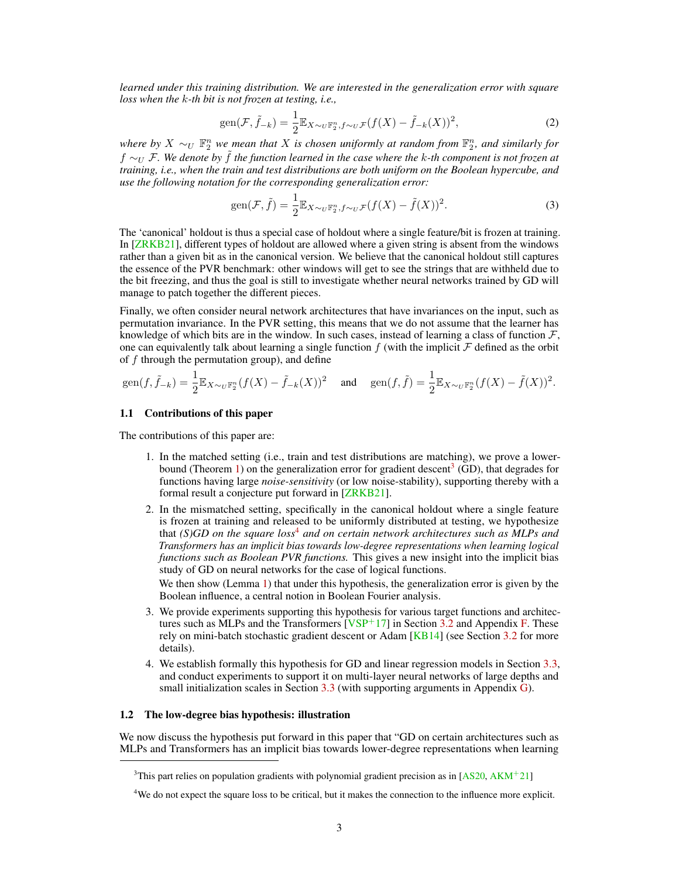<span id="page-2-3"></span>*learned under this training distribution. We are interested in the generalization error with square loss when the* k*-th bit is not frozen at testing, i.e.,*

$$
\text{gen}(\mathcal{F}, \tilde{f}_{-k}) = \frac{1}{2} \mathbb{E}_{X \sim_U \mathbb{F}_2^n, f \sim_U \mathcal{F}} (f(X) - \tilde{f}_{-k}(X))^2,
$$
\n<sup>(2)</sup>

where by  $X \sim_U \mathbb{F}_2^n$  we mean that X is chosen uniformly at random from  $\mathbb{F}_2^n$ , and similarly for f ∼<sup>U</sup> F*. We denote by* ˜f *the function learned in the case where the* k*-th component is not frozen at training, i.e., when the train and test distributions are both uniform on the Boolean hypercube, and use the following notation for the corresponding generalization error:*

$$
\text{gen}(\mathcal{F}, \tilde{f}) = \frac{1}{2} \mathbb{E}_{X \sim_U \mathbb{F}_2^n, f \sim_U \mathcal{F}} (f(X) - \tilde{f}(X))^2.
$$
 (3)

The 'canonical' holdout is thus a special case of holdout where a single feature/bit is frozen at training. In [\[ZRKB21\]](#page-13-0), different types of holdout are allowed where a given string is absent from the windows rather than a given bit as in the canonical version. We believe that the canonical holdout still captures the essence of the PVR benchmark: other windows will get to see the strings that are withheld due to the bit freezing, and thus the goal is still to investigate whether neural networks trained by GD will manage to patch together the different pieces.

Finally, we often consider neural network architectures that have invariances on the input, such as permutation invariance. In the PVR setting, this means that we do not assume that the learner has knowledge of which bits are in the window. In such cases, instead of learning a class of function  $\mathcal{F}$ , one can equivalently talk about learning a single function  $f$  (with the implicit  $\mathcal F$  defined as the orbit of  $f$  through the permutation group), and define

$$
\text{gen}(f,\tilde{f}_{-k}) = \frac{1}{2} \mathbb{E}_{X \sim_U \mathbb{F}_2^n} (f(X) - \tilde{f}_{-k}(X))^2 \quad \text{and} \quad \text{gen}(f,\tilde{f}) = \frac{1}{2} \mathbb{E}_{X \sim_U \mathbb{F}_2^n} (f(X) - \tilde{f}(X))^2.
$$

#### 1.1 Contributions of this paper

The contributions of this paper are:

- 1. In the matched setting (i.e., train and test distributions are matching), we prove a lower-bound (Theorem [1\)](#page-5-0) on the generalization error for gradient descent<sup>[3](#page-2-0)</sup> (GD), that degrades for functions having large *noise-sensitivity* (or low noise-stability), supporting thereby with a formal result a conjecture put forward in [\[ZRKB21\]](#page-13-0).
- 2. In the mismatched setting, specifically in the canonical holdout where a single feature is frozen at training and released to be uniformly distributed at testing, we hypothesize that *(S)GD on the square loss*[4](#page-2-1) *and on certain network architectures such as MLPs and Transformers has an implicit bias towards low-degree representations when learning logical functions such as Boolean PVR functions.* This gives a new insight into the implicit bias study of GD on neural networks for the case of logical functions.

We then show (Lemma [1\)](#page-6-0) that under this hypothesis, the generalization error is given by the Boolean influence, a central notion in Boolean Fourier analysis.

- 3. We provide experiments supporting this hypothesis for various target functions and architectures such as MLPs and the Transformers  $[VSP+17]$  $[VSP+17]$  in Section [3.2](#page-6-1) and Appendix [F.](#page-23-0) These rely on mini-batch stochastic gradient descent or Adam [\[KB14\]](#page-12-1) (see Section [3.2](#page-6-1) for more details).
- 4. We establish formally this hypothesis for GD and linear regression models in Section [3.3,](#page-9-0) and conduct experiments to support it on multi-layer neural networks of large depths and small initialization scales in Section  $3.3$  (with supporting arguments in Appendix [G\)](#page-26-0).

#### <span id="page-2-2"></span>1.2 The low-degree bias hypothesis: illustration

We now discuss the hypothesis put forward in this paper that "GD on certain architectures such as MLPs and Transformers has an implicit bias towards lower-degree representations when learning

<span id="page-2-0"></span><sup>&</sup>lt;sup>3</sup>This part relies on population gradients with polynomial gradient precision as in [\[AS20,](#page-11-0) [AKM](#page-11-1)<sup>+</sup>21]

<span id="page-2-1"></span><sup>&</sup>lt;sup>4</sup>We do not expect the square loss to be critical, but it makes the connection to the influence more explicit.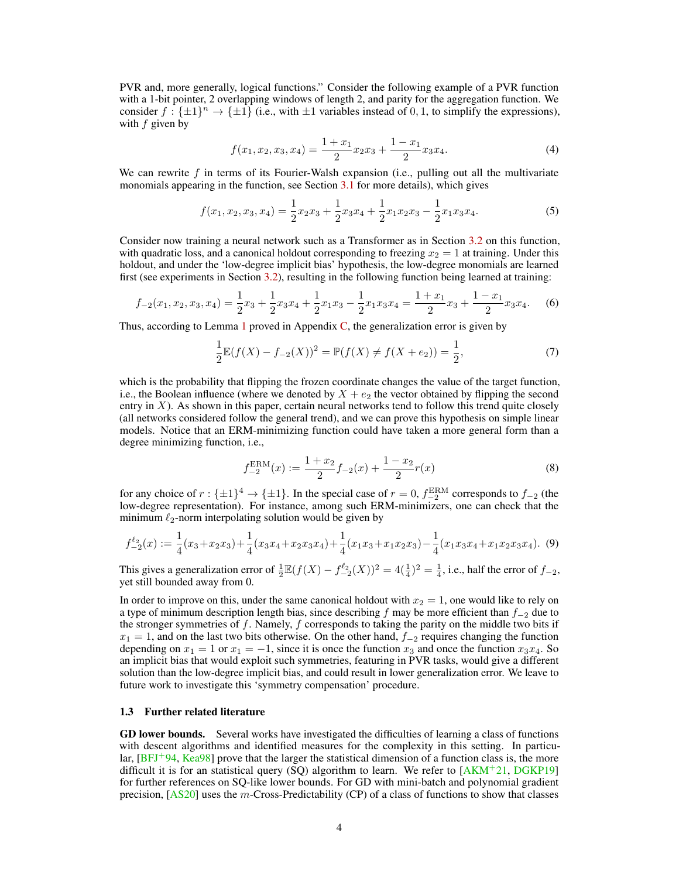<span id="page-3-0"></span>PVR and, more generally, logical functions." Consider the following example of a PVR function with a 1-bit pointer, 2 overlapping windows of length 2, and parity for the aggregation function. We consider  $f: \{\pm 1\}^n \to \{\pm 1\}$  (i.e., with  $\pm 1$  variables instead of 0, 1, to simplify the expressions), with  $f$  given by

$$
f(x_1, x_2, x_3, x_4) = \frac{1 + x_1}{2} x_2 x_3 + \frac{1 - x_1}{2} x_3 x_4.
$$
 (4)

We can rewrite  $f$  in terms of its Fourier-Walsh expansion (i.e., pulling out all the multivariate monomials appearing in the function, see Section [3.1](#page-6-2) for more details), which gives

$$
f(x_1, x_2, x_3, x_4) = \frac{1}{2}x_2x_3 + \frac{1}{2}x_3x_4 + \frac{1}{2}x_1x_2x_3 - \frac{1}{2}x_1x_3x_4.
$$
 (5)

Consider now training a neural network such as a Transformer as in Section [3.2](#page-6-1) on this function, with quadratic loss, and a canonical holdout corresponding to freezing  $x_2 = 1$  at training. Under this holdout, and under the 'low-degree implicit bias' hypothesis, the low-degree monomials are learned first (see experiments in Section [3.2\)](#page-6-1), resulting in the following function being learned at training:

$$
f_{-2}(x_1, x_2, x_3, x_4) = \frac{1}{2}x_3 + \frac{1}{2}x_3x_4 + \frac{1}{2}x_1x_3 - \frac{1}{2}x_1x_3x_4 = \frac{1+x_1}{2}x_3 + \frac{1-x_1}{2}x_3x_4.
$$
 (6)

Thus, according to Lemma [1](#page-6-0) proved in Appendix [C,](#page-18-0) the generalization error is given by

$$
\frac{1}{2}\mathbb{E}(f(X) - f_{-2}(X))^2 = \mathbb{P}(f(X) \neq f(X + e_2)) = \frac{1}{2},\tag{7}
$$

which is the probability that flipping the frozen coordinate changes the value of the target function, i.e., the Boolean influence (where we denoted by  $X + e_2$  the vector obtained by flipping the second entry in  $X$ ). As shown in this paper, certain neural networks tend to follow this trend quite closely (all networks considered follow the general trend), and we can prove this hypothesis on simple linear models. Notice that an ERM-minimizing function could have taken a more general form than a degree minimizing function, i.e.,

$$
f_{-2}^{\text{ERM}}(x) := \frac{1+x_2}{2} f_{-2}(x) + \frac{1-x_2}{2} r(x)
$$
 (8)

for any choice of  $r : \{\pm 1\}^4 \to \{\pm 1\}$ . In the special case of  $r = 0$ ,  $f_{-2}^{\text{ERM}}$  corresponds to  $f_{-2}$  (the low-degree representation). For instance, among such ERM-minimizers, one can check that the minimum  $\ell_2$ -norm interpolating solution would be given by

$$
f_{-2}^{\ell_2}(x) := \frac{1}{4}(x_3 + x_2x_3) + \frac{1}{4}(x_3x_4 + x_2x_3x_4) + \frac{1}{4}(x_1x_3 + x_1x_2x_3) - \frac{1}{4}(x_1x_3x_4 + x_1x_2x_3x_4).
$$
 (9)

This gives a generalization error of  $\frac{1}{2} \mathbb{E}(f(X) - f_{-2}^{\ell_2}(X))^2 = 4(\frac{1}{4})^2 = \frac{1}{4}$ , i.e., half the error of  $f_{-2}$ , yet still bounded away from 0.

In order to improve on this, under the same canonical holdout with  $x_2 = 1$ , one would like to rely on a type of minimum description length bias, since describing f may be more efficient than  $f_{-2}$  due to the stronger symmetries of  $f$ . Namely,  $f$  corresponds to taking the parity on the middle two bits if  $x_1 = 1$ , and on the last two bits otherwise. On the other hand,  $f_{-2}$  requires changing the function depending on  $x_1 = 1$  or  $x_1 = -1$ , since it is once the function  $x_3$  and once the function  $x_3x_4$ . So an implicit bias that would exploit such symmetries, featuring in PVR tasks, would give a different solution than the low-degree implicit bias, and could result in lower generalization error. We leave to future work to investigate this 'symmetry compensation' procedure.

## 1.3 Further related literature

GD lower bounds. Several works have investigated the difficulties of learning a class of functions with descent algorithms and identified measures for the complexity in this setting. In particular,  $[BFJ^+94, Kea98]$  $[BFJ^+94, Kea98]$  $[BFJ^+94, Kea98]$  prove that the larger the statistical dimension of a function class is, the more difficult it is for an statistical query (SQ) algorithm to learn. We refer to  $[AKM^+21, DGKP19]$  $[AKM^+21, DGKP19]$  $[AKM^+21, DGKP19]$ for further references on SQ-like lower bounds. For GD with mini-batch and polynomial gradient precision,  $[AS20]$  uses the m-Cross-Predictability (CP) of a class of functions to show that classes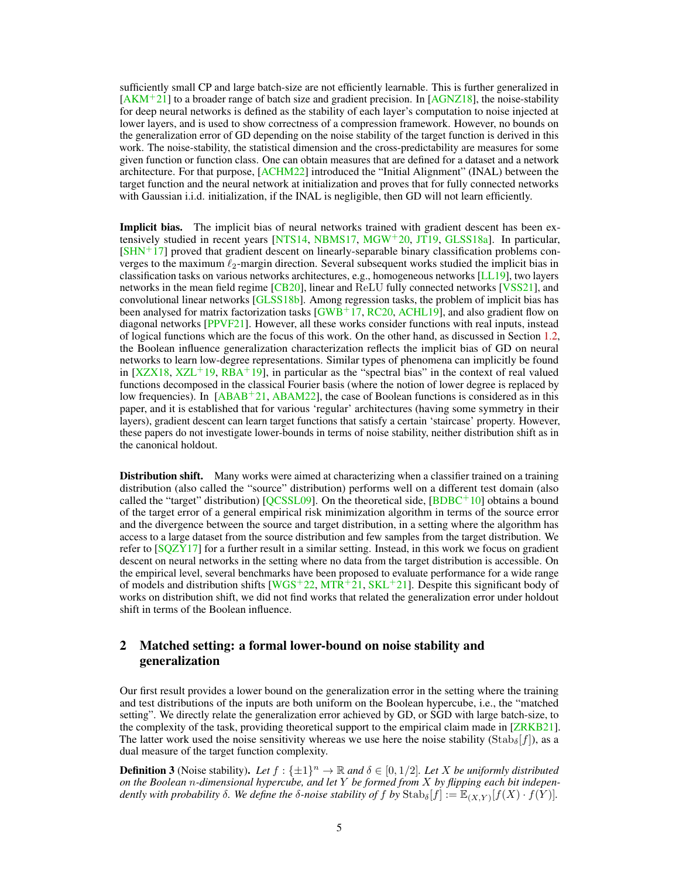<span id="page-4-0"></span>sufficiently small CP and large batch-size are not efficiently learnable. This is further generalized in  $[AKM+21]$  $[AKM+21]$  to a broader range of batch size and gradient precision. In  $[AGNZ18]$ , the noise-stability for deep neural networks is defined as the stability of each layer's computation to noise injected at lower layers, and is used to show correctness of a compression framework. However, no bounds on the generalization error of GD depending on the noise stability of the target function is derived in this work. The noise-stability, the statistical dimension and the cross-predictability are measures for some given function or function class. One can obtain measures that are defined for a dataset and a network architecture. For that purpose, [\[ACHM22\]](#page-11-5) introduced the "Initial Alignment" (INAL) between the target function and the neural network at initialization and proves that for fully connected networks with Gaussian i.i.d. initialization, if the INAL is negligible, then GD will not learn efficiently.

Implicit bias. The implicit bias of neural networks trained with gradient descent has been ex-tensively studied in recent years [\[NTS14,](#page-12-3) [NBMS17,](#page-12-4) [MGW](#page-12-5)+20, [JT19,](#page-11-6) [GLSS18a\]](#page-11-7). In particular,  $[SHN+17]$  $[SHN+17]$  proved that gradient descent on linearly-separable binary classification problems converges to the maximum  $\ell_2$ -margin direction. Several subsequent works studied the implicit bias in classification tasks on various networks architectures, e.g., homogeneous networks [\[LL19\]](#page-12-7), two layers networks in the mean field regime [\[CB20\]](#page-11-8), linear and ReLU fully connected networks [\[VSS21\]](#page-13-2), and convolutional linear networks [\[GLSS18b\]](#page-11-9). Among regression tasks, the problem of implicit bias has been analysed for matrix factorization tasks  $\left[\text{GWB}^+\right]$  17, [RC20,](#page-12-8) [ACHL19\]](#page-11-11), and also gradient flow on diagonal networks [\[PPVF21\]](#page-12-9). However, all these works consider functions with real inputs, instead of logical functions which are the focus of this work. On the other hand, as discussed in Section [1.2,](#page-2-2) the Boolean influence generalization characterization reflects the implicit bias of GD on neural networks to learn low-degree representations. Similar types of phenomena can implicitly be found in  $[XZX18, XZL^{+}19, RBA+19]$  $[XZX18, XZL^{+}19, RBA+19]$  $[XZX18, XZL^{+}19, RBA+19]$  $[XZX18, XZL^{+}19, RBA+19]$  $[XZX18, XZL^{+}19, RBA+19]$  $[XZX18, XZL^{+}19, RBA+19]$ , in particular as the "spectral bias" in the context of real valued functions decomposed in the classical Fourier basis (where the notion of lower degree is replaced by low frequencies). In  $[ABAB<sup>+</sup>21, ABAM22]$  $[ABAB<sup>+</sup>21, ABAM22]$  $[ABAB<sup>+</sup>21, ABAM22]$ , the case of Boolean functions is considered as in this paper, and it is established that for various 'regular' architectures (having some symmetry in their layers), gradient descent can learn target functions that satisfy a certain 'staircase' property. However, these papers do not investigate lower-bounds in terms of noise stability, neither distribution shift as in the canonical holdout.

**Distribution shift.** Many works were aimed at characterizing when a classifier trained on a training distribution (also called the "source" distribution) performs well on a different test domain (also called the "target" distribution)  $[QCSSL09]$ . On the theoretical side,  $[BDBC<sup>+</sup>10]$  $[BDBC<sup>+</sup>10]$  obtains a bound of the target error of a general empirical risk minimization algorithm in terms of the source error and the divergence between the source and target distribution, in a setting where the algorithm has access to a large dataset from the source distribution and few samples from the target distribution. We refer to [\[SQZY17\]](#page-12-12) for a further result in a similar setting. Instead, in this work we focus on gradient descent on neural networks in the setting where no data from the target distribution is accessible. On the empirical level, several benchmarks have been proposed to evaluate performance for a wide range of models and distribution shifts  $[WGS^+22, MTR+21, SKL^+21]$  $[WGS^+22, MTR+21, SKL^+21]$  $[WGS^+22, MTR+21, SKL^+21]$  $[WGS^+22, MTR+21, SKL^+21]$  $[WGS^+22, MTR+21, SKL^+21]$  $[WGS^+22, MTR+21, SKL^+21]$ . Despite this significant body of works on distribution shift, we did not find works that related the generalization error under holdout shift in terms of the Boolean influence.

# 2 Matched setting: a formal lower-bound on noise stability and generalization

Our first result provides a lower bound on the generalization error in the setting where the training and test distributions of the inputs are both uniform on the Boolean hypercube, i.e., the "matched setting". We directly relate the generalization error achieved by GD, or SGD with large batch-size, to the complexity of the task, providing theoretical support to the empirical claim made in [\[ZRKB21\]](#page-13-0). The latter work used the noise sensitivity whereas we use here the noise stability ( $\text{Stab}_{\delta}[f]$ ), as a dual measure of the target function complexity.

**Definition 3** (Noise stability). Let  $f : \{\pm 1\}^n \to \mathbb{R}$  and  $\delta \in [0, 1/2]$ . Let X be uniformly distributed *on the Boolean* n*-dimensional hypercube, and let* Y *be formed from* X *by flipping each bit independently with probability*  $\delta$ *. We define the*  $\delta$ -noise stability of f by  $\text{Stab}_{\delta}[f] := \mathbb{E}_{(X,Y)}[f(X) \cdot f(Y)]$ .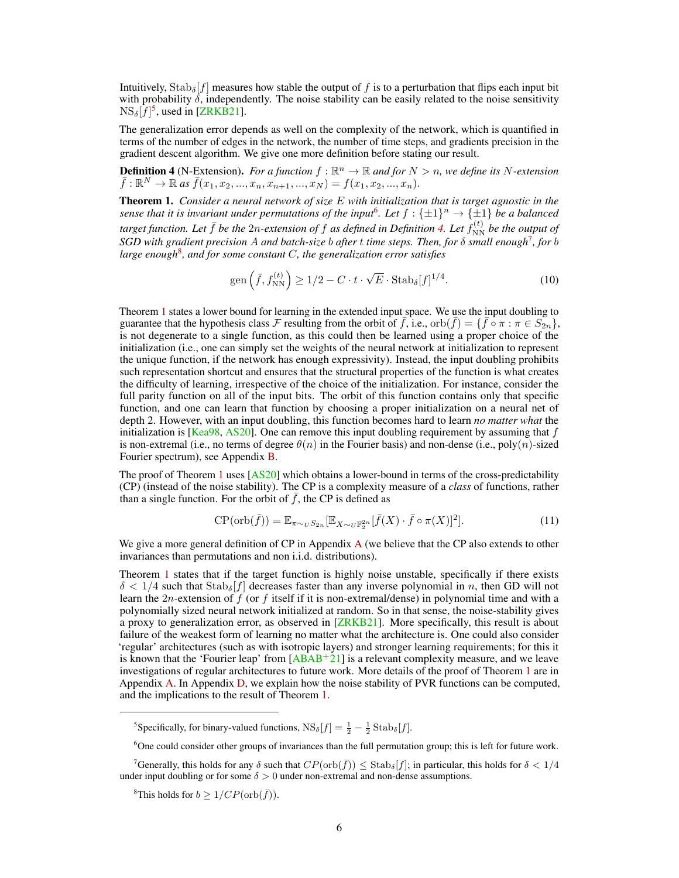<span id="page-5-6"></span>Intuitively,  $\text{Stab}_{\delta}[f]$  measures how stable the output of f is to a perturbation that flips each input bit with probability  $\delta$ , independently. The noise stability can be easily related to the noise sensitivity  $\text{NS}_{\delta}[f]^{5}$  $\text{NS}_{\delta}[f]^{5}$  $\text{NS}_{\delta}[f]^{5}$ , used in [\[ZRKB21\]](#page-13-0).

The generalization error depends as well on the complexity of the network, which is quantified in terms of the number of edges in the network, the number of time steps, and gradients precision in the gradient descent algorithm. We give one more definition before stating our result.

<span id="page-5-3"></span>**Definition 4** (N-Extension). For a function  $f : \mathbb{R}^n \to \mathbb{R}$  and for  $N > n$ , we define its N-extension  $\bar{f}: \mathbb{R}^N \to \mathbb{R}$  as  $\bar{f}(x_1, x_2, ..., x_n, x_{n+1}, ..., x_N) = f(x_1, x_2, ..., x_n).$ 

<span id="page-5-0"></span>Theorem 1. *Consider a neural network of size* E *with initialization that is target agnostic in the* sense that it is invariant under permutations of the input<sup>[6](#page-5-2)</sup>. Let  $f: \{\pm 1\}^n \to \{\pm 1\}$  be a balanced  $t$ arget function. Let  $\bar{f}$  be the  $2n$ -extension of  $f$  as defined in Definition [4.](#page-5-3) Let  $f_{\rm NN}^{(t)}$  be the output of *SGD with gradient precision* A *and batch-size* b *after* t *time steps. Then, for* δ *small enough*[7](#page-5-4) *, for* b *large enough*[8](#page-5-5) *, and for some constant* C*, the generalization error satisfies*

$$
\text{gen}\left(\bar{f}, f_{\text{NN}}^{(t)}\right) \ge 1/2 - C \cdot t \cdot \sqrt{E} \cdot \text{Stab}_{\delta}[f]^{1/4}.\tag{10}
$$

Theorem [1](#page-5-0) states a lower bound for learning in the extended input space. We use the input doubling to guarantee that the hypothesis class F resulting from the orbit of  $f,$  i.e.,  $orb(\bar{f}) = \{\bar{f} \circ \pi : \pi \in S_{2n}\},$ is not degenerate to a single function, as this could then be learned using a proper choice of the initialization (i.e., one can simply set the weights of the neural network at initialization to represent the unique function, if the network has enough expressivity). Instead, the input doubling prohibits such representation shortcut and ensures that the structural properties of the function is what creates the difficulty of learning, irrespective of the choice of the initialization. For instance, consider the full parity function on all of the input bits. The orbit of this function contains only that specific function, and one can learn that function by choosing a proper initialization on a neural net of depth 2. However, with an input doubling, this function becomes hard to learn *no matter what* the initialization is  $[Kea98, AS20]$  $[Kea98, AS20]$  $[Kea98, AS20]$ . One can remove this input doubling requirement by assuming that f is non-extremal (i.e., no terms of degree  $\theta(n)$  in the Fourier basis) and non-dense (i.e., poly $(n)$ -sized Fourier spectrum), see Appendix [B.](#page-16-0)

The proof of Theorem [1](#page-5-0) uses [\[AS20\]](#page-11-0) which obtains a lower-bound in terms of the cross-predictability (CP) (instead of the noise stability). The CP is a complexity measure of a *class* of functions, rather than a single function. For the orbit of  $\bar{f}$ , the CP is defined as

$$
\text{CP}(\text{orb}(\bar{f})) = \mathbb{E}_{\pi \sim_U S_{2n}}[\mathbb{E}_{X \sim_U \mathbb{F}_2^{2n}}[\bar{f}(X) \cdot \bar{f} \circ \pi(X)]^2].\tag{11}
$$

We give a more general definition of CP in [A](#page-14-0)ppendix  $A$  (we believe that the CP also extends to other invariances than permutations and non i.i.d. distributions).

Theorem [1](#page-5-0) states that if the target function is highly noise unstable, specifically if there exists  $\delta < 1/4$  such that  $\text{Stab}_{\delta}[f]$  decreases faster than any inverse polynomial in n, then GD will not learn the 2n-extension of  $\hat{f}$  (or  $f$  itself if it is non-extremal/dense) in polynomial time and with a polynomially sized neural network initialized at random. So in that sense, the noise-stability gives a proxy to generalization error, as observed in [\[ZRKB21\]](#page-13-0). More specifically, this result is about failure of the weakest form of learning no matter what the architecture is. One could also consider 'regular' architectures (such as with isotropic layers) and stronger learning requirements; for this it is known that the 'Fourier leap' from  $[ABAB<sup>+</sup>21]$  $[ABAB<sup>+</sup>21]$  is a relevant complexity measure, and we leave investigations of regular architectures to future work. More details of the proof of Theorem [1](#page-5-0) are in Appendix [A.](#page-14-0) In Appendix [D,](#page-20-0) we explain how the noise stability of PVR functions can be computed, and the implications to the result of Theorem [1.](#page-5-0)

<span id="page-5-1"></span><sup>&</sup>lt;sup>5</sup>Specifically, for binary-valued functions,  $NS_{\delta}[f] = \frac{1}{2} - \frac{1}{2} \text{Stab}_{\delta}[f]$ .

<span id="page-5-4"></span><span id="page-5-2"></span><sup>6</sup>One could consider other groups of invariances than the full permutation group; this is left for future work.

<sup>&</sup>lt;sup>7</sup>Generally, this holds for any  $\delta$  such that  $CP(\text{orb}(\bar{f})) \leq \text{Stab}_{\delta}[f]$ ; in particular, this holds for  $\delta < 1/4$ under input doubling or for some  $\delta > 0$  under non-extremal and non-dense assumptions.

<span id="page-5-5"></span><sup>&</sup>lt;sup>8</sup>This holds for  $b > 1/CP(\text{orb}(\bar{f}))$ .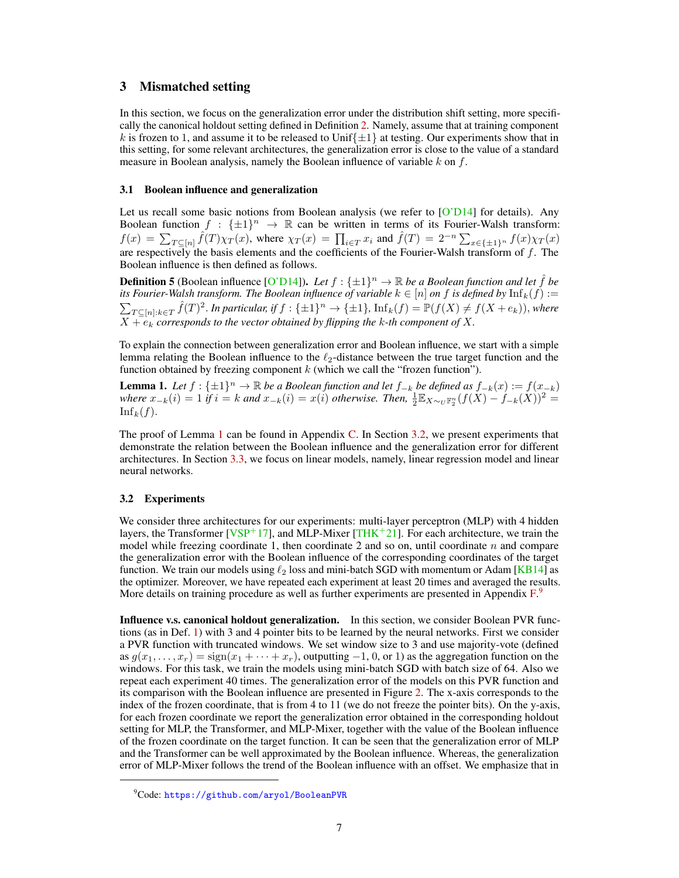# <span id="page-6-5"></span><span id="page-6-4"></span>3 Mismatched setting

In this section, we focus on the generalization error under the distribution shift setting, more specifically the canonical holdout setting defined in Definition [2.](#page-1-2) Namely, assume that at training component k is frozen to 1, and assume it to be released to Unif $\{\pm 1\}$  at testing. Our experiments show that in this setting, for some relevant architectures, the generalization error is close to the value of a standard measure in Boolean analysis, namely the Boolean influence of variable  $k$  on  $f$ .

## <span id="page-6-2"></span>3.1 Boolean influence and generalization

Let us recall some basic notions from Boolean analysis (we refer to [\[O'D14\]](#page-12-15) for details). Any Boolean function  $f : {\pm 1}^n \to \mathbb{R}$  can be written in terms of its Fourier-Walsh transform:  $f(x) = \sum_{T \subseteq [n]} \hat{f}(T) \chi_T(x)$ , where  $\chi_T(x) = \prod_{i \in T} x_i$  and  $\hat{f}(T) = 2^{-n} \sum_{x \in \{\pm 1\}^n} f(x) \chi_T(x)$ are respectively the basis elements and the coefficients of the Fourier-Walsh transform of  $f$ . The Boolean influence is then defined as follows.

**Definition 5** (Boolean influence [\[O'D14\]](#page-12-15)). Let  $f : \{\pm 1\}^n \to \mathbb{R}$  be a Boolean function and let  $\hat{f}$  be *its Fourier-Walsh transform. The Boolean influence of variable*  $k \in [n]$  *on*  $f$  *is defined by*  $\mathrm{Inf}_k(f) :=$  $\sum_{T \subseteq [n]: k \in T} \hat{f}(T)^2$ . In particular, if  $f : \{\pm 1\}^n \to \{\pm 1\}$ ,  $\text{Inf}_k(f) = \mathbb{P}(f(X) \neq f(X + e_k))$ , where  $X + e_k$  corresponds to the vector obtained by flipping the  $k$ -th component of  $X$ .

To explain the connection between generalization error and Boolean influence, we start with a simple lemma relating the Boolean influence to the  $\ell_2$ -distance between the true target function and the function obtained by freezing component  $k$  (which we call the "frozen function").

<span id="page-6-0"></span>**Lemma 1.** Let  $f: \{\pm 1\}^n \to \mathbb{R}$  be a Boolean function and let  $f_{-k}$  be defined as  $f_{-k}(x) := f(x_{-k})$ *where*  $x_{-k}(i) = 1$  *if*  $i = k$  *and*  $x_{-k}(i) = x(i)$  *otherwise. Then*,  $\frac{1}{2} \mathbb{E}_{X \sim_U \mathbb{F}_2^n} (f(X) - f_{-k}(X))^2 =$  $\mathrm{Inf}_k(f)$ .

The proof of Lemma [1](#page-6-0) can be found in Appendix [C.](#page-18-0) In Section [3.2,](#page-6-1) we present experiments that demonstrate the relation between the Boolean influence and the generalization error for different architectures. In Section [3.3,](#page-9-0) we focus on linear models, namely, linear regression model and linear neural networks.

## <span id="page-6-1"></span>3.2 Experiments

We consider three architectures for our experiments: multi-layer perceptron (MLP) with 4 hidden layers, the Transformer [ $VSP+17$ ], and MLP-Mixer [\[THK](#page-13-6)+21]. For each architecture, we train the model while freezing coordinate 1, then coordinate 2 and so on, until coordinate  $n$  and compare the generalization error with the Boolean influence of the corresponding coordinates of the target function. We train our models using  $\ell_2$  loss and mini-batch SGD with momentum or Adam [\[KB14\]](#page-12-1) as the optimizer. Moreover, we have repeated each experiment at least 20 times and averaged the results. More details on training procedure as well as further experiments are presented in Appendix [F.](#page-23-0)[9](#page-6-3)

Influence v.s. canonical holdout generalization. In this section, we consider Boolean PVR functions (as in Def. [1\)](#page-1-3) with 3 and 4 pointer bits to be learned by the neural networks. First we consider a PVR function with truncated windows. We set window size to 3 and use majority-vote (defined as  $g(x_1, \ldots, x_r) = \text{sign}(x_1 + \cdots + x_r)$ , outputting −1, 0, or 1) as the aggregation function on the windows. For this task, we train the models using mini-batch SGD with batch size of 64. Also we repeat each experiment 40 times. The generalization error of the models on this PVR function and its comparison with the Boolean influence are presented in Figure [2.](#page-7-0) The x-axis corresponds to the index of the frozen coordinate, that is from 4 to 11 (we do not freeze the pointer bits). On the y-axis, for each frozen coordinate we report the generalization error obtained in the corresponding holdout setting for MLP, the Transformer, and MLP-Mixer, together with the value of the Boolean influence of the frozen coordinate on the target function. It can be seen that the generalization error of MLP and the Transformer can be well approximated by the Boolean influence. Whereas, the generalization error of MLP-Mixer follows the trend of the Boolean influence with an offset. We emphasize that in

<span id="page-6-3"></span><sup>9</sup>Code: <https://github.com/aryol/BooleanPVR>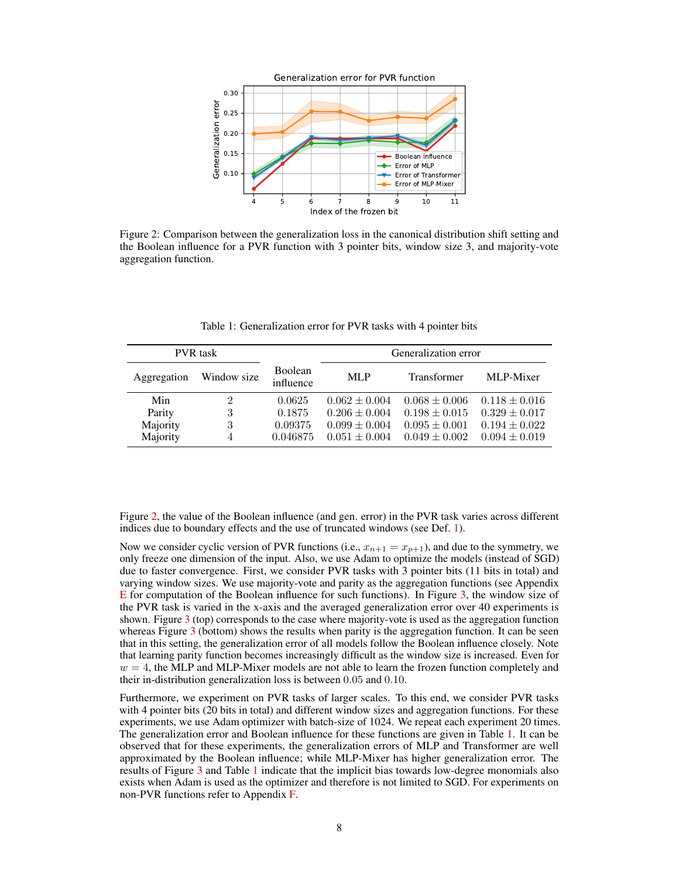<span id="page-7-0"></span>

Figure 2: Comparison between the generalization loss in the canonical distribution shift setting and the Boolean influence for a PVR function with 3 pointer bits, window size 3, and majority-vote aggregation function.

<span id="page-7-1"></span>

| <b>PVR</b> task |             |                      | Generalization error |                    |                   |
|-----------------|-------------|----------------------|----------------------|--------------------|-------------------|
| Aggregation     | Window size | Boolean<br>influence | MLP                  | <b>Transformer</b> | MLP-Mixer         |
| Min             | 2           | 0.0625               | $0.062 \pm 0.004$    | $0.068 \pm 0.006$  | $0.118 \pm 0.016$ |
| Parity          | 3           | 0.1875               | $0.206 \pm 0.004$    | $0.198 \pm 0.015$  | $0.329 \pm 0.017$ |
| Majority        | 3           | 0.09375              | $0.099 \pm 0.004$    | $0.095 \pm 0.001$  | $0.194 \pm 0.022$ |
| Majority        | 4           | 0.046875             | $0.051 \pm 0.004$    | $0.049 \pm 0.002$  | $0.094 \pm 0.019$ |

Table 1: Generalization error for PVR tasks with 4 pointer bits

Figure [2,](#page-7-0) the value of the Boolean influence (and gen. error) in the PVR task varies across different indices due to boundary effects and the use of truncated windows (see Def. [1\)](#page-1-3).

Now we consider cyclic version of PVR functions (i.e.,  $x_{n+1} = x_{p+1}$ ), and due to the symmetry, we only freeze one dimension of the input. Also, we use Adam to optimize the models (instead of SGD) due to faster convergence. First, we consider PVR tasks with 3 pointer bits (11 bits in total) and varying window sizes. We use majority-vote and parity as the aggregation functions (see Appendix [E](#page-22-0) for computation of the Boolean influence for such functions). In Figure [3,](#page-8-0) the window size of the PVR task is varied in the x-axis and the averaged generalization error over 40 experiments is shown. Figure [3](#page-8-0) (top) corresponds to the case where majority-vote is used as the aggregation function whereas Figure [3](#page-8-0) (bottom) shows the results when parity is the aggregation function. It can be seen that in this setting, the generalization error of all models follow the Boolean influence closely. Note that learning parity function becomes increasingly difficult as the window size is increased. Even for  $w = 4$ , the MLP and MLP-Mixer models are not able to learn the frozen function completely and their in-distribution generalization loss is between 0.05 and 0.10.

Furthermore, we experiment on PVR tasks of larger scales. To this end, we consider PVR tasks with 4 pointer bits (20 bits in total) and different window sizes and aggregation functions. For these experiments, we use Adam optimizer with batch-size of 1024. We repeat each experiment 20 times. The generalization error and Boolean influence for these functions are given in Table [1.](#page-7-1) It can be observed that for these experiments, the generalization errors of MLP and Transformer are well approximated by the Boolean influence; while MLP-Mixer has higher generalization error. The results of Figure [3](#page-8-0) and Table [1](#page-7-1) indicate that the implicit bias towards low-degree monomials also exists when Adam is used as the optimizer and therefore is not limited to SGD. For experiments on non-PVR functions refer to Appendix [F.](#page-23-0)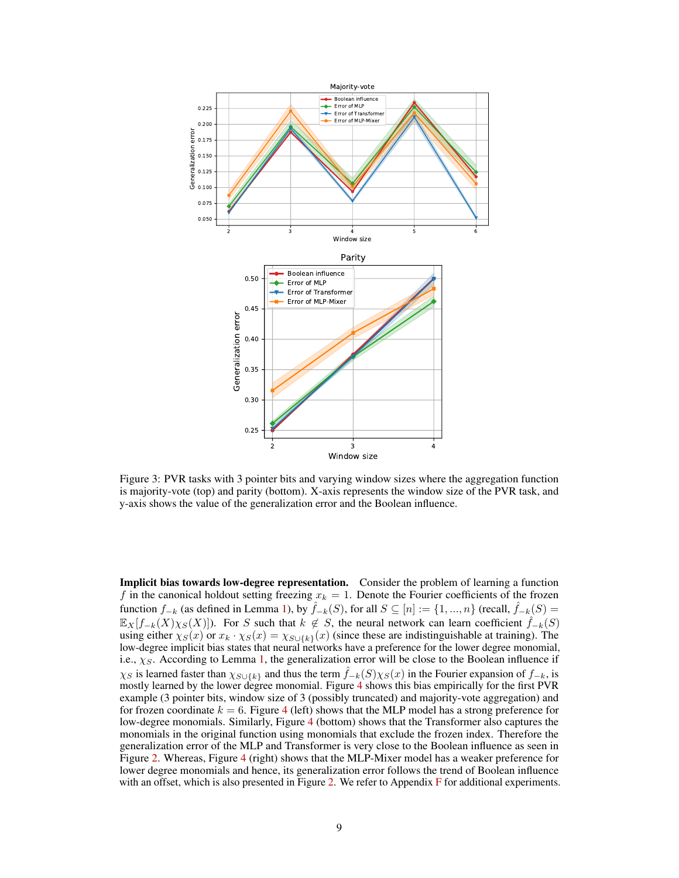<span id="page-8-0"></span>

Figure 3: PVR tasks with 3 pointer bits and varying window sizes where the aggregation function is majority-vote (top) and parity (bottom). X-axis represents the window size of the PVR task, and y-axis shows the value of the generalization error and the Boolean influence.

Implicit bias towards low-degree representation. Consider the problem of learning a function f in the canonical holdout setting freezing  $x_k = 1$ . Denote the Fourier coefficients of the frozen function  $f_{-k}$  (as defined in Lemma [1\)](#page-6-0), by  $\hat{f}_{-k}(S)$ , for all  $S \subseteq [n] := \{1, ..., n\}$  (recall,  $\hat{f}_{-k}(S) =$  $\mathbb{E}_X[f_{-k}(X)\chi_S(X)]$ ). For S such that  $k \notin S$ , the neural network can learn coefficient  $\hat{f}_{-k}(S)$ using either  $\chi_S(x)$  or  $x_k \cdot \chi_S(x) = \chi_{S \cup \{k\}}(x)$  (since these are indistinguishable at training). The low-degree implicit bias states that neural networks have a preference for the lower degree monomial, i.e.,  $\chi_S$ . According to Lemma [1,](#page-6-0) the generalization error will be close to the Boolean influence if  $\chi_S$  is learned faster than  $\chi_{S\cup\{k\}}$  and thus the term  $f_{-k}(S)\chi_S(x)$  in the Fourier expansion of  $f_{-k}$ , is mostly learned by the lower degree monomial. Figure [4](#page-9-1) shows this bias empirically for the first PVR example (3 pointer bits, window size of 3 (possibly truncated) and majority-vote aggregation) and for frozen coordinate  $k = 6$ . Figure [4](#page-9-1) (left) shows that the MLP model has a strong preference for low-degree monomials. Similarly, Figure [4](#page-9-1) (bottom) shows that the Transformer also captures the monomials in the original function using monomials that exclude the frozen index. Therefore the generalization error of the MLP and Transformer is very close to the Boolean influence as seen in Figure [2.](#page-7-0) Whereas, Figure [4](#page-9-1) (right) shows that the MLP-Mixer model has a weaker preference for lower degree monomials and hence, its generalization error follows the trend of Boolean influence with an offset, which is also presented in Figure [2.](#page-7-0) We refer to Appendix [F](#page-23-0) for additional experiments.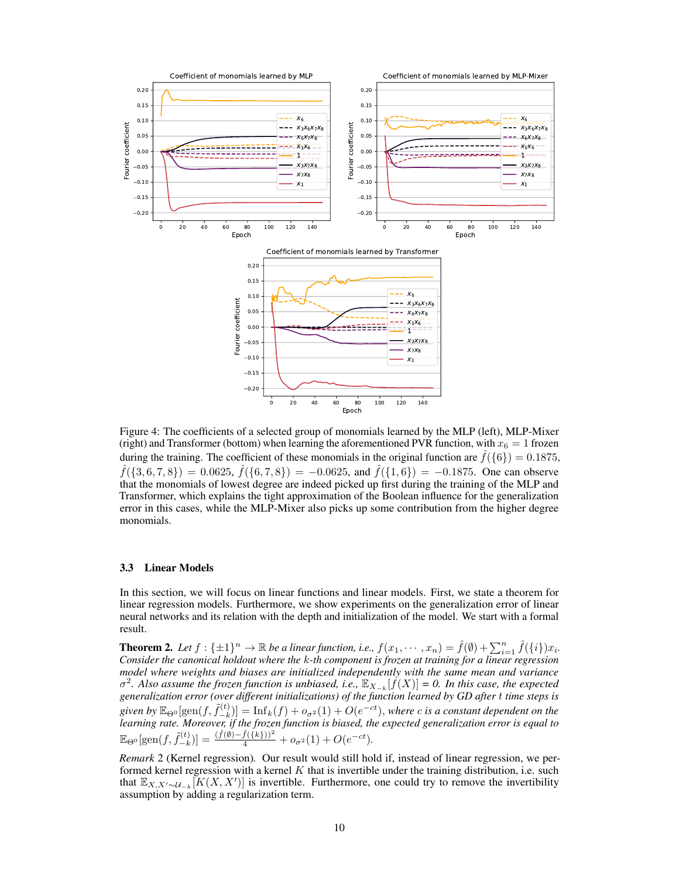<span id="page-9-1"></span>

Figure 4: The coefficients of a selected group of monomials learned by the MLP (left), MLP-Mixer (right) and Transformer (bottom) when learning the aforementioned PVR function, with  $x_6 = 1$  frozen during the training. The coefficient of these monomials in the original function are  $\hat{f}(\{6\}) = 0.1875$ ,  $\hat{f}(\{3,6,7,8\}) = 0.0625, \, \hat{f}(\{6,7,8\}) = -0.0625, \, \text{and} \, \hat{f}(\{1,6\}) = -0.1875.$  One can observe that the monomials of lowest degree are indeed picked up first during the training of the MLP and Transformer, which explains the tight approximation of the Boolean influence for the generalization error in this cases, while the MLP-Mixer also picks up some contribution from the higher degree monomials.

#### <span id="page-9-0"></span>3.3 Linear Models

In this section, we will focus on linear functions and linear models. First, we state a theorem for linear regression models. Furthermore, we show experiments on the generalization error of linear neural networks and its relation with the depth and initialization of the model. We start with a formal result.

<span id="page-9-2"></span>**Theorem 2.** Let  $f: \{\pm 1\}^n \to \mathbb{R}$  be a linear function, i.e.,  $f(x_1, \dots, x_n) = \hat{f}(\emptyset) + \sum_{i=1}^n \hat{f}(\{i\})x_i$ . *Consider the canonical holdout where the* k*-th component is frozen at training for a linear regression model where weights and biases are initialized independently with the same mean and variance*  $\sigma^2$ . Also assume the frozen function is unbiased, i.e.,  $\mathbb{E}_{X_{-k}}[f(X)] = 0$ . In this case, the expected *generalization error (over different initializations) of the function learned by GD after* t *time steps is* given by  $\mathbb{E}_{\Theta^0}[\text{gen}(f, \tilde{f}_{-k}^{(t)}$  $\begin{bmatrix} \n\sigma(t) \ -k \n\end{bmatrix}$  =  $\text{Inf}_k(f) + o_{\sigma^2}(1) + O(e^{-ct})$ , *where c* is a constant dependent on the *learning rate. Moreover, if the frozen function is biased, the expected generalization error is equal to*  $\mathbb{E}_{\Theta^0}[\text{gen}(f,\tilde{f}_{-k}^{(t)}% )]\mathbb{E}_{\Theta^0}[\text{gen}(f,\tilde{f}_{-k}^{(t)}% )]$  $\binom{f(t)}{-k}$ ] =  $\frac{(\hat{f}(\emptyset) - \hat{f}(\{k\}))^2}{4} + o_{\sigma^2}(1) + O(e^{-ct}).$ 

*Remark* 2 (Kernel regression)*.* Our result would still hold if, instead of linear regression, we performed kernel regression with a kernel  $K$  that is invertible under the training distribution, i.e. such that  $\mathbb{E}_{X,X'\sim\mathcal{U}_{-k}}[K(X,X')]$  is invertible. Furthermore, one could try to remove the invertibility assumption by adding a regularization term.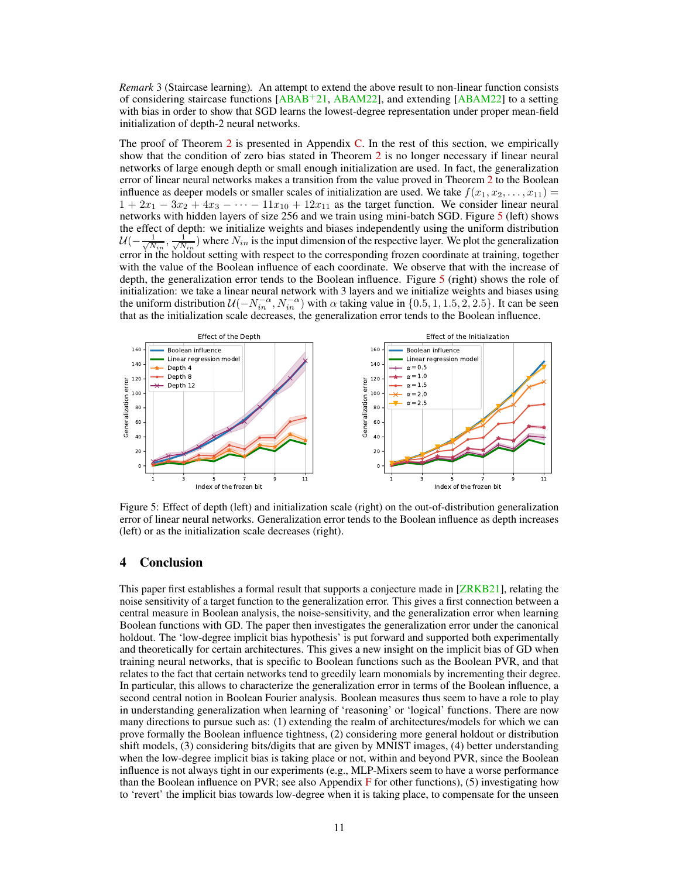<span id="page-10-1"></span>*Remark* 3 (Staircase learning)*.* An attempt to extend the above result to non-linear function consists of considering staircase functions  $[ABAB<sup>+</sup>21, ABAM22]$  $[ABAB<sup>+</sup>21, ABAM22]$  $[ABAB<sup>+</sup>21, ABAM22]$ , and extending  $[ABAM22]$  to a setting with bias in order to show that SGD learns the lowest-degree representation under proper mean-field initialization of depth-2 neural networks.

The proof of Theorem [2](#page-9-2) is presented in Appendix [C.](#page-18-0) In the rest of this section, we empirically show that the condition of zero bias stated in Theorem [2](#page-9-2) is no longer necessary if linear neural networks of large enough depth or small enough initialization are used. In fact, the generalization error of linear neural networks makes a transition from the value proved in Theorem [2](#page-9-2) to the Boolean influence as deeper models or smaller scales of initialization are used. We take  $f(x_1, x_2, \ldots, x_{11}) =$  $1 + 2x_1 - 3x_2 + 4x_3 - \cdots - 11x_{10} + 12x_{11}$  as the target function. We consider linear neural networks with hidden layers of size 256 and we train using mini-batch SGD. Figure [5](#page-10-0) (left) shows the effect of depth: we initialize weights and biases independently using the uniform distribution  $\mathcal{U}(-\frac{1}{\sqrt{N}})$  $\frac{1}{N_{in}}, \frac{1}{\sqrt{N}}$  $\frac{1}{N_{in}}$ ) where  $N_{in}$  is the input dimension of the respective layer. We plot the generalization error in the holdout setting with respect to the corresponding frozen coordinate at training, together with the value of the Boolean influence of each coordinate. We observe that with the increase of depth, the generalization error tends to the Boolean influence. Figure [5](#page-10-0) (right) shows the role of initialization: we take a linear neural network with 3 layers and we initialize weights and biases using the uniform distribution  $\mathcal{U}(-N_{in}^{-\alpha}, N_{in}^{-\alpha})$  with  $\alpha$  taking value in  $\{0.5, 1, 1.5, 2, 2.5\}$ . It can be seen that as the initialization scale decreases, the generalization error tends to the Boolean influence.

<span id="page-10-0"></span>

Figure 5: Effect of depth (left) and initialization scale (right) on the out-of-distribution generalization error of linear neural networks. Generalization error tends to the Boolean influence as depth increases (left) or as the initialization scale decreases (right).

# 4 Conclusion

This paper first establishes a formal result that supports a conjecture made in [\[ZRKB21\]](#page-13-0), relating the noise sensitivity of a target function to the generalization error. This gives a first connection between a central measure in Boolean analysis, the noise-sensitivity, and the generalization error when learning Boolean functions with GD. The paper then investigates the generalization error under the canonical holdout. The 'low-degree implicit bias hypothesis' is put forward and supported both experimentally and theoretically for certain architectures. This gives a new insight on the implicit bias of GD when training neural networks, that is specific to Boolean functions such as the Boolean PVR, and that relates to the fact that certain networks tend to greedily learn monomials by incrementing their degree. In particular, this allows to characterize the generalization error in terms of the Boolean influence, a second central notion in Boolean Fourier analysis. Boolean measures thus seem to have a role to play in understanding generalization when learning of 'reasoning' or 'logical' functions. There are now many directions to pursue such as: (1) extending the realm of architectures/models for which we can prove formally the Boolean influence tightness, (2) considering more general holdout or distribution shift models, (3) considering bits/digits that are given by MNIST images, (4) better understanding when the low-degree implicit bias is taking place or not, within and beyond PVR, since the Boolean influence is not always tight in our experiments (e.g., MLP-Mixers seem to have a worse performance than the Boolean influence on PVR; see also Appendix [F](#page-23-0) for other functions), (5) investigating how to 'revert' the implicit bias towards low-degree when it is taking place, to compensate for the unseen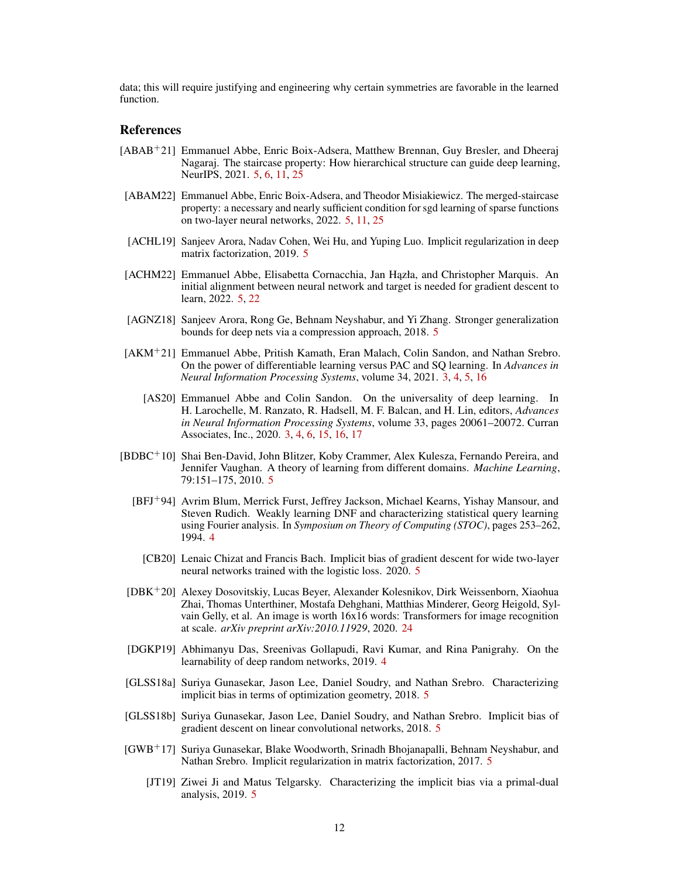data; this will require justifying and engineering why certain symmetries are favorable in the learned function.

# References

- <span id="page-11-12"></span>[ABAB+21] Emmanuel Abbe, Enric Boix-Adsera, Matthew Brennan, Guy Bresler, and Dheeraj Nagaraj. The staircase property: How hierarchical structure can guide deep learning, NeurIPS, 2021. [5,](#page-4-0) [6,](#page-5-6) [11,](#page-10-1) [25](#page-24-0)
- <span id="page-11-13"></span>[ABAM22] Emmanuel Abbe, Enric Boix-Adsera, and Theodor Misiakiewicz. The merged-staircase property: a necessary and nearly sufficient condition for sgd learning of sparse functions on two-layer neural networks, 2022. [5,](#page-4-0) [11,](#page-10-1) [25](#page-24-0)
- <span id="page-11-11"></span>[ACHL19] Sanjeev Arora, Nadav Cohen, Wei Hu, and Yuping Luo. Implicit regularization in deep matrix factorization, 2019. [5](#page-4-0)
- <span id="page-11-5"></span>[ACHM22] Emmanuel Abbe, Elisabetta Cornacchia, Jan Hazła, and Christopher Marquis. An initial alignment between neural network and target is needed for gradient descent to learn, 2022. [5,](#page-4-0) [22](#page-21-0)
- <span id="page-11-4"></span>[AGNZ18] Sanjeev Arora, Rong Ge, Behnam Neyshabur, and Yi Zhang. Stronger generalization bounds for deep nets via a compression approach, 2018. [5](#page-4-0)
- <span id="page-11-1"></span><span id="page-11-0"></span>[AKM<sup>+</sup>21] Emmanuel Abbe, Pritish Kamath, Eran Malach, Colin Sandon, and Nathan Srebro. On the power of differentiable learning versus PAC and SQ learning. In *Advances in Neural Information Processing Systems*, volume 34, 2021. [3,](#page-2-3) [4,](#page-3-0) [5,](#page-4-0) [16](#page-15-0)
	- [AS20] Emmanuel Abbe and Colin Sandon. On the universality of deep learning. In H. Larochelle, M. Ranzato, R. Hadsell, M. F. Balcan, and H. Lin, editors, *Advances in Neural Information Processing Systems*, volume 33, pages 20061–20072. Curran Associates, Inc., 2020. [3,](#page-2-3) [4,](#page-3-0) [6,](#page-5-6) [15,](#page-14-1) [16,](#page-15-0) [17](#page-16-1)
- <span id="page-11-14"></span><span id="page-11-2"></span>[BDBC<sup>+</sup>10] Shai Ben-David, John Blitzer, Koby Crammer, Alex Kulesza, Fernando Pereira, and Jennifer Vaughan. A theory of learning from different domains. *Machine Learning*, 79:151–175, 2010. [5](#page-4-0)
	- [BFJ<sup>+</sup>94] Avrim Blum, Merrick Furst, Jeffrey Jackson, Michael Kearns, Yishay Mansour, and Steven Rudich. Weakly learning DNF and characterizing statistical query learning using Fourier analysis. In *Symposium on Theory of Computing (STOC)*, pages 253–262, 1994. [4](#page-3-0)
	- [CB20] Lenaic Chizat and Francis Bach. Implicit bias of gradient descent for wide two-layer neural networks trained with the logistic loss. 2020. [5](#page-4-0)
- <span id="page-11-15"></span><span id="page-11-8"></span>[DBK<sup>+</sup>20] Alexey Dosovitskiy, Lucas Beyer, Alexander Kolesnikov, Dirk Weissenborn, Xiaohua Zhai, Thomas Unterthiner, Mostafa Dehghani, Matthias Minderer, Georg Heigold, Sylvain Gelly, et al. An image is worth 16x16 words: Transformers for image recognition at scale. *arXiv preprint arXiv:2010.11929*, 2020. [24](#page-23-1)
- <span id="page-11-3"></span>[DGKP19] Abhimanyu Das, Sreenivas Gollapudi, Ravi Kumar, and Rina Panigrahy. On the learnability of deep random networks, 2019. [4](#page-3-0)
- <span id="page-11-7"></span>[GLSS18a] Suriya Gunasekar, Jason Lee, Daniel Soudry, and Nathan Srebro. Characterizing implicit bias in terms of optimization geometry, 2018. [5](#page-4-0)
- <span id="page-11-9"></span>[GLSS18b] Suriya Gunasekar, Jason Lee, Daniel Soudry, and Nathan Srebro. Implicit bias of gradient descent on linear convolutional networks, 2018. [5](#page-4-0)
- <span id="page-11-10"></span><span id="page-11-6"></span>[GWB<sup>+</sup>17] Suriya Gunasekar, Blake Woodworth, Srinadh Bhojanapalli, Behnam Neyshabur, and Nathan Srebro. Implicit regularization in matrix factorization, 2017. [5](#page-4-0)
	- [JT19] Ziwei Ji and Matus Telgarsky. Characterizing the implicit bias via a primal-dual analysis, 2019. [5](#page-4-0)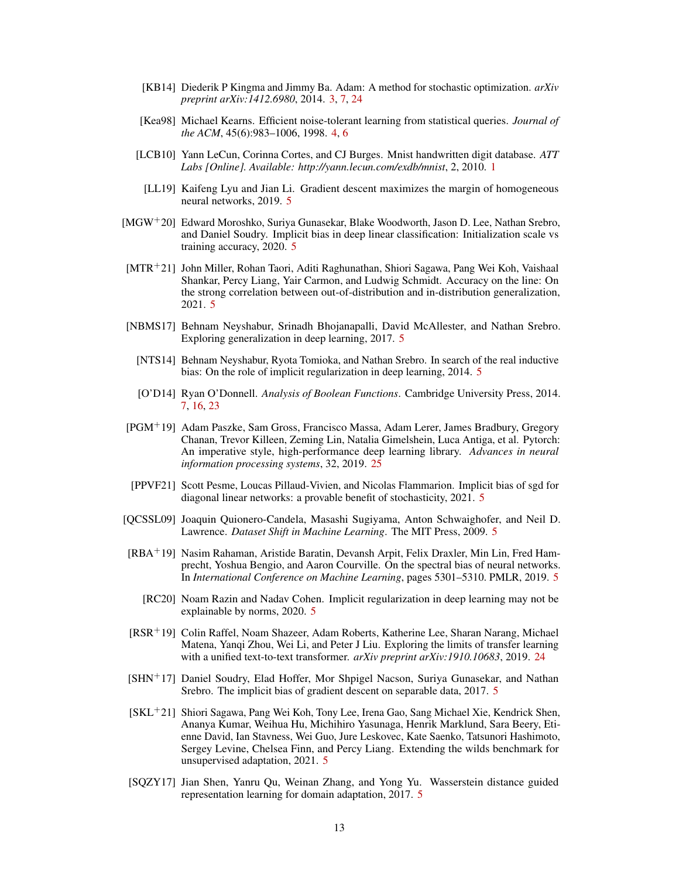- <span id="page-12-1"></span>[KB14] Diederik P Kingma and Jimmy Ba. Adam: A method for stochastic optimization. *arXiv preprint arXiv:1412.6980*, 2014. [3,](#page-2-3) [7,](#page-6-4) [24](#page-23-1)
- <span id="page-12-2"></span>[Kea98] Michael Kearns. Efficient noise-tolerant learning from statistical queries. *Journal of the ACM*, 45(6):983–1006, 1998. [4,](#page-3-0) [6](#page-5-6)
- <span id="page-12-0"></span>[LCB10] Yann LeCun, Corinna Cortes, and CJ Burges. Mnist handwritten digit database. *ATT Labs [Online]. Available: http://yann.lecun.com/exdb/mnist*, 2, 2010. [1](#page-0-0)
- <span id="page-12-7"></span>[LL19] Kaifeng Lyu and Jian Li. Gradient descent maximizes the margin of homogeneous neural networks, 2019. [5](#page-4-0)
- <span id="page-12-5"></span>[MGW+20] Edward Moroshko, Suriya Gunasekar, Blake Woodworth, Jason D. Lee, Nathan Srebro, and Daniel Soudry. Implicit bias in deep linear classification: Initialization scale vs training accuracy, 2020. [5](#page-4-0)
- <span id="page-12-13"></span>[MTR+21] John Miller, Rohan Taori, Aditi Raghunathan, Shiori Sagawa, Pang Wei Koh, Vaishaal Shankar, Percy Liang, Yair Carmon, and Ludwig Schmidt. Accuracy on the line: On the strong correlation between out-of-distribution and in-distribution generalization, 2021. [5](#page-4-0)
- <span id="page-12-4"></span>[NBMS17] Behnam Neyshabur, Srinadh Bhojanapalli, David McAllester, and Nathan Srebro. Exploring generalization in deep learning, 2017. [5](#page-4-0)
- <span id="page-12-3"></span>[NTS14] Behnam Neyshabur, Ryota Tomioka, and Nathan Srebro. In search of the real inductive bias: On the role of implicit regularization in deep learning, 2014. [5](#page-4-0)
- <span id="page-12-15"></span>[O'D14] Ryan O'Donnell. *Analysis of Boolean Functions*. Cambridge University Press, 2014. [7,](#page-6-4) [16,](#page-15-0) [23](#page-22-1)
- <span id="page-12-17"></span>[PGM<sup>+</sup>19] Adam Paszke, Sam Gross, Francisco Massa, Adam Lerer, James Bradbury, Gregory Chanan, Trevor Killeen, Zeming Lin, Natalia Gimelshein, Luca Antiga, et al. Pytorch: An imperative style, high-performance deep learning library. *Advances in neural information processing systems*, 32, 2019. [25](#page-24-0)
- <span id="page-12-9"></span>[PPVF21] Scott Pesme, Loucas Pillaud-Vivien, and Nicolas Flammarion. Implicit bias of sgd for diagonal linear networks: a provable benefit of stochasticity, 2021. [5](#page-4-0)
- <span id="page-12-11"></span>[QCSSL09] Joaquin Quionero-Candela, Masashi Sugiyama, Anton Schwaighofer, and Neil D. Lawrence. *Dataset Shift in Machine Learning*. The MIT Press, 2009. [5](#page-4-0)
- <span id="page-12-10"></span>[RBA<sup>+</sup>19] Nasim Rahaman, Aristide Baratin, Devansh Arpit, Felix Draxler, Min Lin, Fred Hamprecht, Yoshua Bengio, and Aaron Courville. On the spectral bias of neural networks. In *International Conference on Machine Learning*, pages 5301–5310. PMLR, 2019. [5](#page-4-0)
	- [RC20] Noam Razin and Nadav Cohen. Implicit regularization in deep learning may not be explainable by norms, 2020. [5](#page-4-0)
- <span id="page-12-16"></span><span id="page-12-8"></span>[RSR<sup>+</sup>19] Colin Raffel, Noam Shazeer, Adam Roberts, Katherine Lee, Sharan Narang, Michael Matena, Yanqi Zhou, Wei Li, and Peter J Liu. Exploring the limits of transfer learning with a unified text-to-text transformer. *arXiv preprint arXiv:1910.10683*, 2019. [24](#page-23-1)
- <span id="page-12-6"></span>[SHN<sup>+</sup>17] Daniel Soudry, Elad Hoffer, Mor Shpigel Nacson, Suriya Gunasekar, and Nathan Srebro. The implicit bias of gradient descent on separable data, 2017. [5](#page-4-0)
- <span id="page-12-14"></span>[SKL<sup>+</sup>21] Shiori Sagawa, Pang Wei Koh, Tony Lee, Irena Gao, Sang Michael Xie, Kendrick Shen, Ananya Kumar, Weihua Hu, Michihiro Yasunaga, Henrik Marklund, Sara Beery, Etienne David, Ian Stavness, Wei Guo, Jure Leskovec, Kate Saenko, Tatsunori Hashimoto, Sergey Levine, Chelsea Finn, and Percy Liang. Extending the wilds benchmark for unsupervised adaptation, 2021. [5](#page-4-0)
- <span id="page-12-12"></span>[SQZY17] Jian Shen, Yanru Qu, Weinan Zhang, and Yong Yu. Wasserstein distance guided representation learning for domain adaptation, 2017. [5](#page-4-0)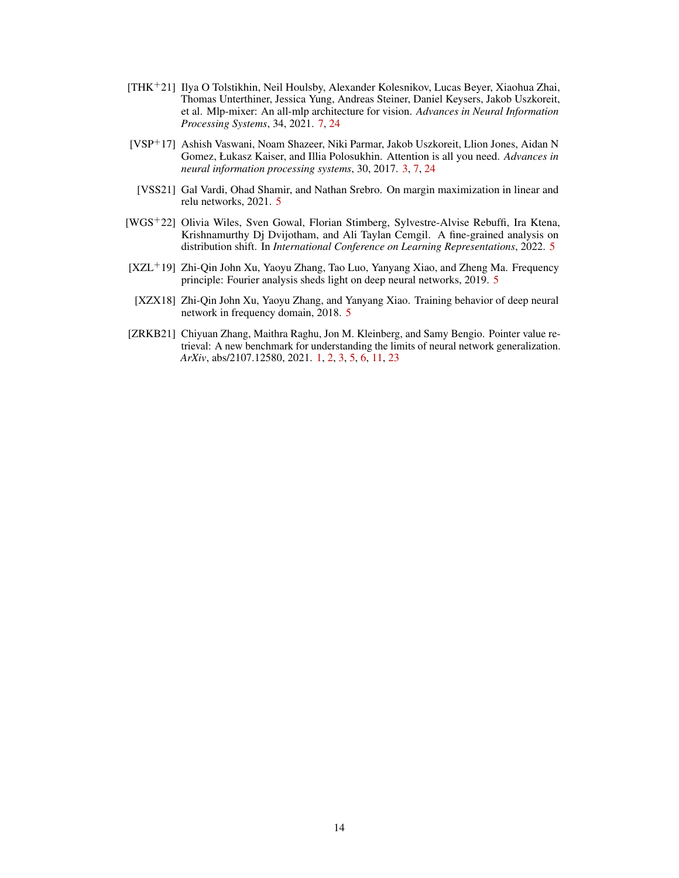- <span id="page-13-6"></span>[THK+21] Ilya O Tolstikhin, Neil Houlsby, Alexander Kolesnikov, Lucas Beyer, Xiaohua Zhai, Thomas Unterthiner, Jessica Yung, Andreas Steiner, Daniel Keysers, Jakob Uszkoreit, et al. Mlp-mixer: An all-mlp architecture for vision. *Advances in Neural Information Processing Systems*, 34, 2021. [7,](#page-6-4) [24](#page-23-1)
- <span id="page-13-1"></span>[VSP+17] Ashish Vaswani, Noam Shazeer, Niki Parmar, Jakob Uszkoreit, Llion Jones, Aidan N Gomez, Łukasz Kaiser, and Illia Polosukhin. Attention is all you need. *Advances in neural information processing systems*, 30, 2017. [3,](#page-2-3) [7,](#page-6-4) [24](#page-23-1)
- <span id="page-13-2"></span>[VSS21] Gal Vardi, Ohad Shamir, and Nathan Srebro. On margin maximization in linear and relu networks, 2021. [5](#page-4-0)
- <span id="page-13-5"></span>[WGS+22] Olivia Wiles, Sven Gowal, Florian Stimberg, Sylvestre-Alvise Rebuffi, Ira Ktena, Krishnamurthy Dj Dvijotham, and Ali Taylan Cemgil. A fine-grained analysis on distribution shift. In *International Conference on Learning Representations*, 2022. [5](#page-4-0)
- <span id="page-13-4"></span>[XZL<sup>+</sup>19] Zhi-Qin John Xu, Yaoyu Zhang, Tao Luo, Yanyang Xiao, and Zheng Ma. Frequency principle: Fourier analysis sheds light on deep neural networks, 2019. [5](#page-4-0)
- <span id="page-13-3"></span>[XZX18] Zhi-Qin John Xu, Yaoyu Zhang, and Yanyang Xiao. Training behavior of deep neural network in frequency domain, 2018. [5](#page-4-0)
- <span id="page-13-0"></span>[ZRKB21] Chiyuan Zhang, Maithra Raghu, Jon M. Kleinberg, and Samy Bengio. Pointer value retrieval: A new benchmark for understanding the limits of neural network generalization. *ArXiv*, abs/2107.12580, 2021. [1,](#page-0-0) [2,](#page-1-4) [3,](#page-2-3) [5,](#page-4-0) [6,](#page-5-6) [11,](#page-10-1) [23](#page-22-1)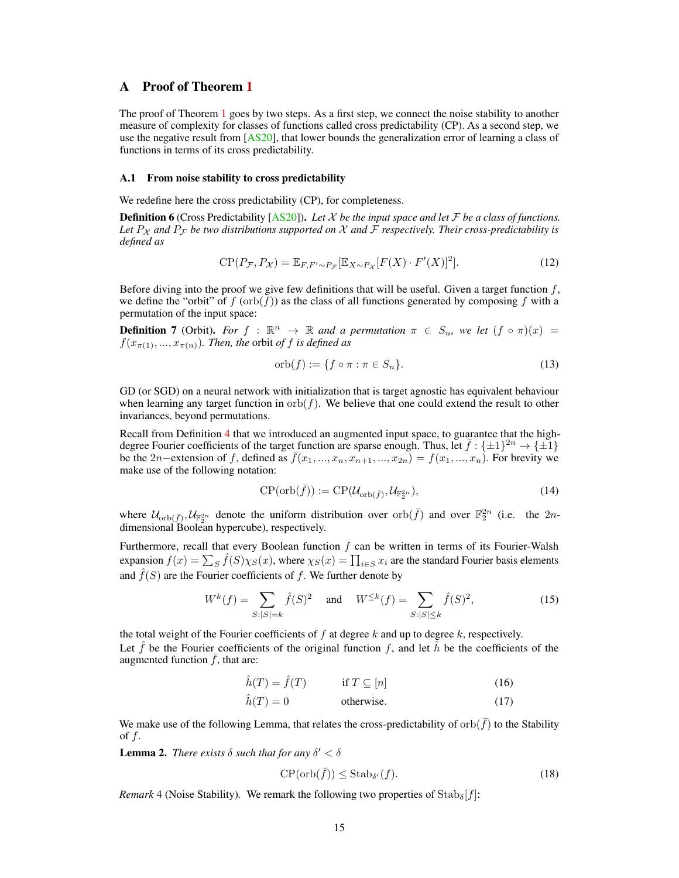# <span id="page-14-1"></span><span id="page-14-0"></span>A Proof of Theorem [1](#page-5-0)

The proof of Theorem [1](#page-5-0) goes by two steps. As a first step, we connect the noise stability to another measure of complexity for classes of functions called cross predictability (CP). As a second step, we use the negative result from [\[AS20\]](#page-11-0), that lower bounds the generalization error of learning a class of functions in terms of its cross predictability.

#### A.1 From noise stability to cross predictability

We redefine here the cross predictability (CP), for completeness.

Definition 6 (Cross Predictability [\[AS20\]](#page-11-0)). *Let* X *be the input space and let* F *be a class of functions.* Let  $P_X$  and  $P_F$  be two distributions supported on X and F respectively. Their cross-predictability is *defined as*

$$
CP(P_{\mathcal{F}}, P_{\mathcal{X}}) = \mathbb{E}_{F, F' \sim P_{\mathcal{F}}}[\mathbb{E}_{X \sim P_{\mathcal{X}}}[F(X) \cdot F'(X)]^2].
$$
\n(12)

Before diving into the proof we give few definitions that will be useful. Given a target function  $f$ , we define the "orbit" of  $f(\text{orb}(f))$  as the class of all functions generated by composing f with a permutation of the input space:

**Definition 7** (Orbit). *For*  $f : \mathbb{R}^n \to \mathbb{R}$  *and a permutation*  $\pi \in S_n$ *, we let*  $(f \circ \pi)(x) =$  $f(x_{\pi(1)},...,x_{\pi(n)})$ *. Then, the orbit of f is defined as* 

$$
\operatorname{orb}(f) := \{ f \circ \pi : \pi \in S_n \}. \tag{13}
$$

GD (or SGD) on a neural network with initialization that is target agnostic has equivalent behaviour when learning any target function in  $orb(f)$ . We believe that one could extend the result to other invariances, beyond permutations.

Recall from Definition [4](#page-5-3) that we introduced an augmented input space, to guarantee that the highdegree Fourier coefficients of the target function are sparse enough. Thus, let  $\bar{f}: {\pm 1}^{2n} \to {\pm 1}$ be the 2n–extension of f, defined as  $\bar{f}(x_1, ..., x_n, x_{n+1}, ..., x_{2n}) = f(x_1, ..., x_n)$ . For brevity we make use of the following notation:

$$
\text{CP}(\text{orb}(\bar{f})) := \text{CP}(\mathcal{U}_{\text{orb}(\bar{f})}, \mathcal{U}_{\mathbb{F}_2^{2n}}),\tag{14}
$$

where  $\mathcal{U}_{\text{orb}(\bar{f})}, \mathcal{U}_{\mathbb{F}_2^{2n}}$  denote the uniform distribution over  $\text{orb}(\bar{f})$  and over  $\mathbb{F}_2^{2n}$  (i.e. the  $2n$ dimensional Boolean hypercube), respectively.

Furthermore, recall that every Boolean function  $f$  can be written in terms of its Fourier-Walsh expansion  $f(x) = \sum_S \hat{f}(S)\chi_S(x)$ , where  $\chi_S(x) = \prod_{i \in S} x_i$  are the standard Fourier basis elements and  $f(S)$  are the Fourier coefficients of f. We further denote by

$$
W^{k}(f) = \sum_{S:|S|=k} \hat{f}(S)^{2} \quad \text{and} \quad W^{\leq k}(f) = \sum_{S:|S| \leq k} \hat{f}(S)^{2},\tag{15}
$$

the total weight of the Fourier coefficients of  $f$  at degree  $k$  and up to degree  $k$ , respectively. Let f be the Fourier coefficients of the original function f, and let h be the coefficients of the augmented function  $\bar{f}$ , that are:

$$
\hat{h}(T) = \hat{f}(T) \qquad \text{if } T \subseteq [n] \tag{16}
$$

$$
\hat{h}(T) = 0
$$
 otherwise. (17)

We make use of the following Lemma, that relates the cross-predictability of  $orb(f)$  to the Stability of  $f$ .

<span id="page-14-4"></span>**Lemma 2.** *There exists*  $\delta$  *such that for any*  $\delta' < \delta$ 

<span id="page-14-3"></span><span id="page-14-2"></span>
$$
\mathbf{CP}(\operatorname{orb}(\bar{f})) \leq \operatorname{Stab}_{\delta'}(f). \tag{18}
$$

*Remark* 4 (Noise Stability). We remark the following two properties of  $\text{Stab}_{\delta}[f]$ :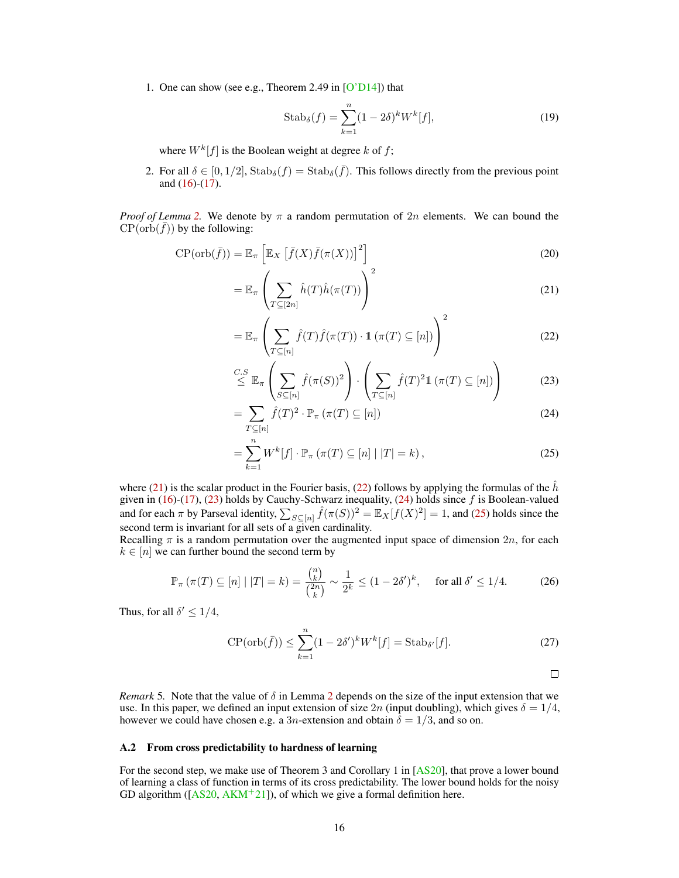<span id="page-15-0"></span>1. One can show (see e.g., Theorem 2.49 in [\[O'D14\]](#page-12-15)) that

$$
Stab_{\delta}(f) = \sum_{k=1}^{n} (1 - 2\delta)^k W^k[f],
$$
\n(19)

where  $W^k[f]$  is the Boolean weight at degree k of f;

2. For all  $\delta \in [0, 1/2]$ ,  $\text{Stab}_{\delta}(f) = \text{Stab}_{\delta}(\bar{f})$ . This follows directly from the previous point and  $(16)-(17)$  $(16)-(17)$  $(16)-(17)$ .

*Proof of Lemma* [2.](#page-14-4) We denote by  $\pi$  a random permutation of 2n elements. We can bound the  $CP(\text{orb}(\bar{f}))$  by the following:

$$
CP(\operatorname{orb}(\bar{f})) = \mathbb{E}_{\pi} \left[ \mathbb{E}_X \left[ \bar{f}(X) \bar{f}(\pi(X)) \right]^2 \right]
$$
\n(20)

$$
= \mathbb{E}_{\pi} \left( \sum_{T \subseteq [2n]} \hat{h}(T)\hat{h}(\pi(T)) \right)^2 \tag{21}
$$

<span id="page-15-2"></span><span id="page-15-1"></span>
$$
= \mathbb{E}_{\pi} \left( \sum_{T \subseteq [n]} \hat{f}(T) \hat{f}(\pi(T)) \cdot \mathbb{1} \left( \pi(T) \subseteq [n] \right) \right)^2 \tag{22}
$$

$$
\stackrel{C.S}{\leq} \mathbb{E}_{\pi} \left( \sum_{S \subseteq [n]} \hat{f}(\pi(S))^2 \right) \cdot \left( \sum_{T \subseteq [n]} \hat{f}(T)^2 1\left(\pi(T) \subseteq [n]\right) \right) \tag{23}
$$

$$
= \sum_{T \subseteq [n]} \hat{f}(T)^2 \cdot \mathbb{P}_{\pi} \left( \pi(T) \subseteq [n] \right) \tag{24}
$$

$$
=\sum_{k=1}^{n} W^{k}[f] \cdot \mathbb{P}_{\pi}\left(\pi(T)\subseteq[n] \mid |T|=k\right),\tag{25}
$$

where [\(21\)](#page-15-1) is the scalar product in the Fourier basis, [\(22\)](#page-15-2) follows by applying the formulas of the  $\hat{h}$ given in [\(16\)](#page-14-2)-[\(17\)](#page-14-3), [\(23\)](#page-15-3) holds by Cauchy-Schwarz inequality, [\(24\)](#page-15-4) holds since  $f$  is Boolean-valued and for each  $\pi$  by Parseval identity,  $\sum_{S \subseteq [n]} \hat{f}(\pi(S))^2 = \mathbb{E}_X[f(X)^2] = 1$ , and [\(25\)](#page-15-5) holds since the second term is invariant for all sets of a given cardinality.

Recalling  $\pi$  is a random permutation over the augmented input space of dimension  $2n$ , for each  $k \in [n]$  we can further bound the second term by

$$
\mathbb{P}_{\pi}\left(\pi(T)\subseteq[n] \mid |T|=k\right) = \frac{\binom{n}{k}}{\binom{2n}{k}} \sim \frac{1}{2^k} \le (1-2\delta')^k, \quad \text{ for all } \delta' \le 1/4. \tag{26}
$$

Thus, for all  $\delta' \leq 1/4$ ,

$$
\text{CP}(\text{orb}(\bar{f})) \le \sum_{k=1}^{n} (1 - 2\delta')^k W^k[f] = \text{Stab}_{\delta'}[f].\tag{27}
$$

<span id="page-15-5"></span><span id="page-15-4"></span><span id="page-15-3"></span>
$$
\Box
$$

*Remark* 5. Note that the value of  $\delta$  in Lemma [2](#page-14-4) depends on the size of the input extension that we use. In this paper, we defined an input extension of size  $2n$  (input doubling), which gives  $\delta = 1/4$ , however we could have chosen e.g. a 3*n*-extension and obtain  $\delta = 1/3$ , and so on.

#### A.2 From cross predictability to hardness of learning

For the second step, we make use of Theorem 3 and Corollary 1 in [\[AS20\]](#page-11-0), that prove a lower bound of learning a class of function in terms of its cross predictability. The lower bound holds for the noisy GD algorithm ( $[AS20, AKM<sup>+</sup>21]$  $[AS20, AKM<sup>+</sup>21]$  $[AS20, AKM<sup>+</sup>21]$  $[AS20, AKM<sup>+</sup>21]$ ), of which we give a formal definition here.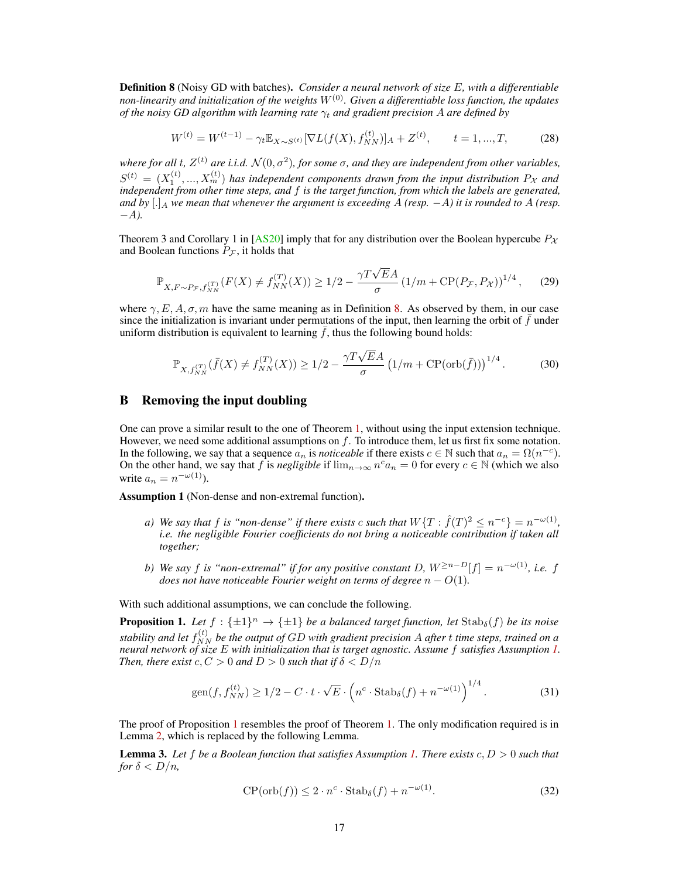<span id="page-16-2"></span><span id="page-16-1"></span>Definition 8 (Noisy GD with batches). *Consider a neural network of size* E*, with a differentiable non-linearity and initialization of the weights* W(0)*. Given a differentiable loss function, the updates of the noisy GD algorithm with learning rate*  $\gamma_t$  *and gradient precision* A *are defined by* 

$$
W^{(t)} = W^{(t-1)} - \gamma_t \mathbb{E}_{X \sim S^{(t)}} [\nabla L(f(X), f_{NN}^{(t)})]_A + Z^{(t)}, \qquad t = 1, ..., T,
$$
 (28)

where for all t,  $Z^{(t)}$  are i.i.d.  $\mathcal{N}(0, \sigma^2)$ , for some  $\sigma$ , and they are independent from other variables,  $S^{(t)} = (X_1^{(t)},...,X_m^{(t)})$  has independent components drawn from the input distribution  $P_{\mathcal{X}}$  and *independent from other time steps, and* f *is the target function, from which the labels are generated,* and by  $[.]_A$  we mean that whenever the argument is exceeding A (resp.  $-A$ ) it is rounded to A (resp. −A*).*

Theorem 3 and Corollary 1 in [\[AS20\]](#page-11-0) imply that for any distribution over the Boolean hypercube  $P_{\chi}$ and Boolean functions  $P_{\mathcal{F}}$ , it holds that

$$
\mathbb{P}_{X,F \sim P_{\mathcal{F}}, f_{NN}^{(T)}}(F(X) \neq f_{NN}^{(T)}(X)) \ge 1/2 - \frac{\gamma T \sqrt{E}A}{\sigma} \left(1/m + \text{CP}(P_{\mathcal{F}}, P_{\mathcal{X}})\right)^{1/4},\tag{29}
$$

where  $\gamma$ , E, A,  $\sigma$ , m have the same meaning as in Definition [8.](#page-16-2) As observed by them, in our case since the initialization is invariant under permutations of the input, then learning the orbit of  $f$  under uniform distribution is equivalent to learning  $f$ , thus the following bound holds:

$$
\mathbb{P}_{X, f_{NN}^{(T)}}(\bar{f}(X) \neq f_{NN}^{(T)}(X)) \ge 1/2 - \frac{\gamma T \sqrt{E}A}{\sigma} \left(1/m + \text{CP}(\text{orb}(\bar{f}))\right)^{1/4}.
$$
 (30)

## <span id="page-16-0"></span>B Removing the input doubling

One can prove a similar result to the one of Theorem [1,](#page-5-0) without using the input extension technique. However, we need some additional assumptions on  $f$ . To introduce them, let us first fix some notation. In the following, we say that a sequence  $a_n$  is *noticeable* if there exists  $c \in \mathbb{N}$  such that  $a_n = \Omega(n^{-c})$ . On the other hand, we say that f is *negligible* if  $\lim_{n\to\infty} n^c a_n = 0$  for every  $c \in \mathbb{N}$  (which we also write  $a_n = n^{-\omega(1)}$ ).

<span id="page-16-3"></span>Assumption 1 (Non-dense and non-extremal function).

- *a*) We say that f is "non-dense" if there exists c such that  $W\{T : \hat{f}(T)^2 \leq n^{-c}\} = n^{-\omega(1)}$ , *i.e. the negligible Fourier coefficients do not bring a noticeable contribution if taken all together;*
- *b) We say* f *is "non-extremal" if for any positive constant* D*,* W<sup>≥</sup>n−D[f] = n <sup>−</sup>ω(1)*, i.e.* f *does not have noticeable Fourier weight on terms of degree*  $n - O(1)$ *.*

With such additional assumptions, we can conclude the following.

<span id="page-16-4"></span>**Proposition 1.** Let  $f: \{\pm 1\}^n \to \{\pm 1\}$  be a balanced target function, let  $\text{Stab}_{\delta}(f)$  be its noise stability and let  $f_{NN}^{(t)}$  be the output of GD with gradient precision A after  $t$  time steps, trained on a *neural network of size* E *with initialization that is target agnostic. Assume* f *satisfies Assumption [1.](#page-16-3) Then, there exist*  $c, C > 0$  *and*  $D > 0$  *such that if*  $\delta < D/n$ 

$$
\operatorname{gen}(f, f_{NN}^{(t)}) \ge 1/2 - C \cdot t \cdot \sqrt{E} \cdot \left( n^c \cdot \operatorname{Stab}_{\delta}(f) + n^{-\omega(1)} \right)^{1/4}.
$$
 (31)

The proof of Proposition [1](#page-16-4) resembles the proof of Theorem [1.](#page-5-0) The only modification required is in Lemma [2,](#page-14-4) which is replaced by the following Lemma.

<span id="page-16-5"></span>Lemma 3. *Let* f *be a Boolean function that satisfies Assumption [1.](#page-16-3) There exists* c, D > 0 *such that for*  $\delta$  <  $D/n$ *,* 

$$
CP(\operatorname{orb}(f)) \le 2 \cdot n^c \cdot \operatorname{Stab}_{\delta}(f) + n^{-\omega(1)}.
$$
 (32)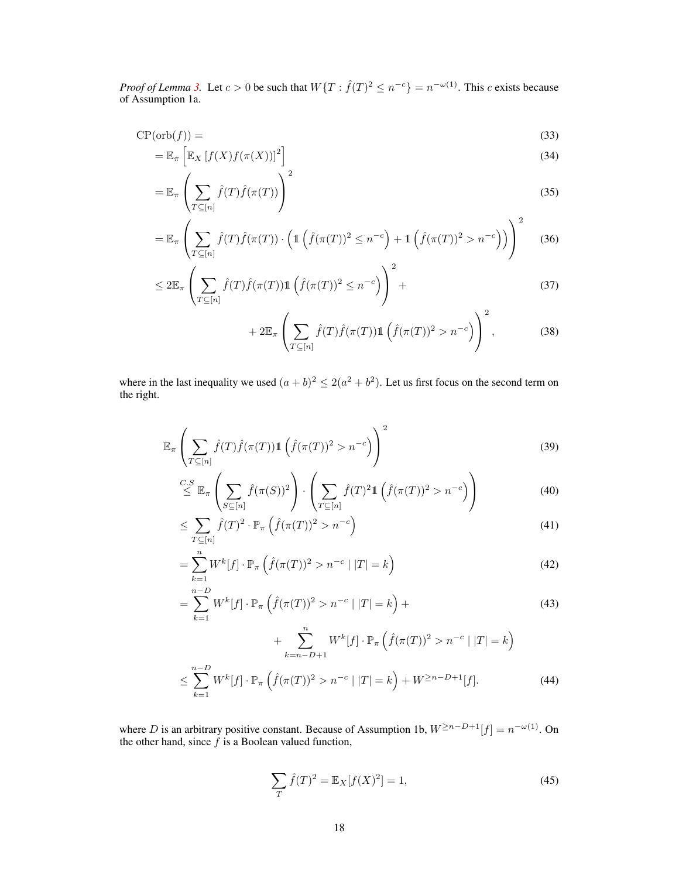*Proof of Lemma* [3.](#page-16-5) Let  $c > 0$  be such that  $W\{T : \hat{f}(T)^2 \leq n^{-c}\} = n^{-\omega(1)}$ . This c exists because of Assumption 1a.

$$
CP(\operatorname{orb}(f)) = \tag{33}
$$

$$
= \mathbb{E}_{\pi} \left[ \mathbb{E}_X \left[ f(X) f(\pi(X)) \right]^2 \right] \tag{34}
$$

$$
= \mathbb{E}_{\pi} \left( \sum_{T \subseteq [n]} \hat{f}(T) \hat{f}(\pi(T)) \right)^2 \tag{35}
$$

$$
= \mathbb{E}_{\pi} \left( \sum_{T \subseteq [n]} \hat{f}(T) \hat{f}(\pi(T)) \cdot \left( \mathbb{1} \left( \hat{f}(\pi(T))^2 \le n^{-c} \right) + \mathbb{1} \left( \hat{f}(\pi(T))^2 > n^{-c} \right) \right) \right)^2 \tag{36}
$$

$$
\leq 2\mathbb{E}_{\pi}\left(\sum_{T\subseteq[n]}\hat{f}(T)\hat{f}(\pi(T))\mathbb{1}\left(\hat{f}(\pi(T))^2\leq n^{-c}\right)\right)^2+\tag{37}
$$

<span id="page-17-0"></span>
$$
+2\mathbb{E}_{\pi}\left(\sum_{T\subseteq[n]}\hat{f}(T)\hat{f}(\pi(T))\mathbb{1}\left(\hat{f}(\pi(T))^2>n^{-c}\right)\right)^2,\tag{38}
$$

where in the last inequality we used  $(a + b)^2 \le 2(a^2 + b^2)$ . Let us first focus on the second term on the right.

$$
\mathbb{E}_{\pi}\left(\sum_{T\subseteq[n]}\hat{f}(T)\hat{f}(\pi(T))\mathbb{1}\left(\hat{f}(\pi(T))^2 > n^{-c}\right)\right)^2\tag{39}
$$

$$
\stackrel{C.S}{\leq} \mathbb{E}_{\pi} \left( \sum_{S \subseteq [n]} \hat{f}(\pi(S))^2 \right) \cdot \left( \sum_{T \subseteq [n]} \hat{f}(T)^2 \mathbb{1} \left( \hat{f}(\pi(T))^2 > n^{-c} \right) \right) \tag{40}
$$

$$
\leq \sum_{T \subseteq [n]} \hat{f}(T)^2 \cdot \mathbb{P}_{\pi} \left( \hat{f}(\pi(T))^2 > n^{-c} \right) \tag{41}
$$

$$
= \sum_{k=1}^{n} W^{k}[f] \cdot \mathbb{P}_{\pi} \left( \hat{f}(\pi(T))^{2} > n^{-c} \mid |T| = k \right)
$$
\n(42)

$$
= \sum_{k=1}^{n-D} W^k[f] \cdot \mathbb{P}_{\pi} \left( \hat{f}(\pi(T))^2 > n^{-c} \mid |T| = k \right) + \tag{43}
$$

$$
+\sum_{k=n-D+1}^{n} W^{k}[f] \cdot \mathbb{P}_{\pi}\left(\hat{f}(\pi(T))^{2} > n^{-c} \mid |T| = k\right)
$$
  

$$
\leq \sum_{k=1}^{n-D} W^{k}[f] \cdot \mathbb{P}_{\pi}\left(\hat{f}(\pi(T))^{2} > n^{-c} \mid |T| = k\right) + W^{\geq n-D+1}[f]. \tag{44}
$$

where D is an arbitrary positive constant. Because of Assumption 1b,  $W^{\geq n-D+1}[f] = n^{-\omega(1)}$ . On the other hand, since  $f$  is a Boolean valued function,

$$
\sum_{T} \hat{f}(T)^{2} = \mathbb{E}_{X}[f(X)^{2}] = 1,
$$
\n(45)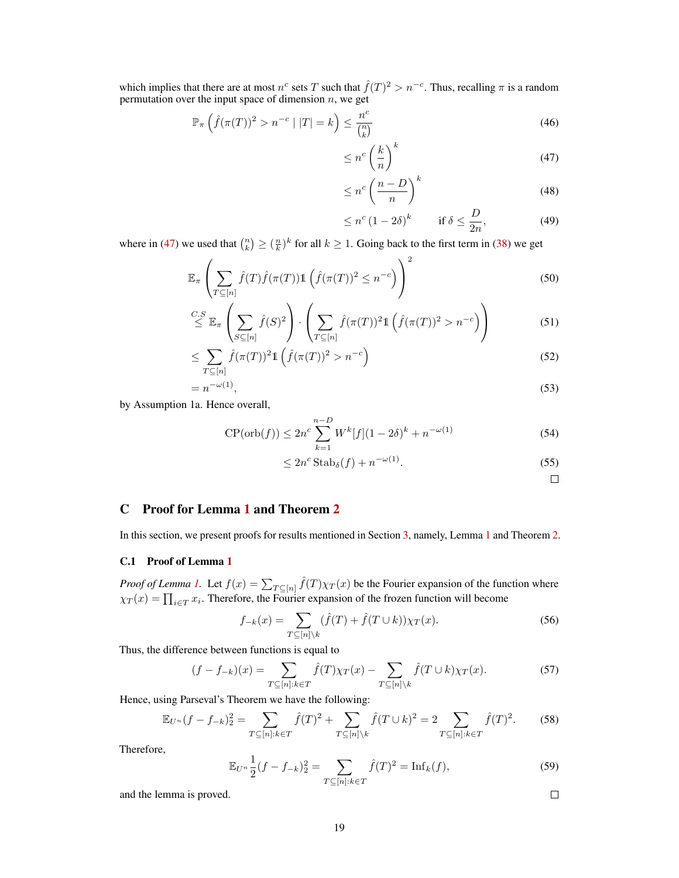which implies that there are at most  $n^c$  sets T such that  $\hat{f}(T)^2 > n^{-c}$ . Thus, recalling  $\pi$  is a random permutation over the input space of dimension  $n$ , we get

$$
\mathbb{P}_{\pi}\left(\hat{f}(\pi(T))^{2} > n^{-c} \mid |T| = k\right) \leq \frac{n^{c}}{\binom{n}{k}}\tag{46}
$$

<span id="page-18-1"></span>
$$
\leq n^c \left(\frac{k}{n}\right)^k \tag{47}
$$

$$
\leq n^c \left(\frac{n-D}{n}\right)^k \tag{48}
$$

$$
\leq n^c \left(1 - 2\delta\right)^k \qquad \text{if } \delta \leq \frac{D}{2n},\tag{49}
$$

where in [\(47\)](#page-18-1) we used that  $\binom{n}{k} \geq \left(\frac{n}{k}\right)^k$  for all  $k \geq 1$ . Going back to the first term in [\(38\)](#page-17-0) we get

$$
\mathbb{E}_{\pi} \left( \sum_{T \subseteq [n]} \hat{f}(T) \hat{f}(\pi(T)) \mathbb{1} \left( \hat{f}(\pi(T))^2 \le n^{-c} \right) \right)^2 \tag{50}
$$

$$
\stackrel{C.S}{\leq} \mathbb{E}_{\pi} \left( \sum_{S \subseteq [n]} \hat{f}(S)^2 \right) \cdot \left( \sum_{T \subseteq [n]} \hat{f}(\pi(T))^2 \mathbb{1} \left( \hat{f}(\pi(T))^2 > n^{-c} \right) \right) \tag{51}
$$

$$
\leq \sum_{T \subseteq [n]} \widehat{f}(\pi(T))^2 \mathbb{1}\left(\widehat{f}(\pi(T))^2 > n^{-c}\right) \tag{52}
$$

$$
=n^{-\omega(1)},\tag{53}
$$

by Assumption 1a. Hence overall,

$$
CP(\operatorname{orb}(f)) \le 2n^c \sum_{k=1}^{n-D} W^k[f](1-2\delta)^k + n^{-\omega(1)}
$$
\n(54)

$$
\leq 2n^c \operatorname{Stab}_{\delta}(f) + n^{-\omega(1)}.
$$
\n(55)

 $\Box$ 

# <span id="page-18-0"></span>C Proof for Lemma [1](#page-6-0) and Theorem [2](#page-9-2)

In this section, we present proofs for results mentioned in Section [3,](#page-6-5) namely, Lemma [1](#page-6-0) and Theorem [2.](#page-9-2)

# C.1 Proof of Lemma [1](#page-6-0)

*Proof of Lemma [1.](#page-6-0)* Let  $f(x) = \sum_{T \subseteq [n]} \hat{f}(T) \chi_T(x)$  be the Fourier expansion of the function where  $\chi_T(x) = \prod_{i \in T} x_i$ . Therefore, the Fourier expansion of the frozen function will become

$$
f_{-k}(x) = \sum_{T \subseteq [n] \setminus k} (\hat{f}(T) + \hat{f}(T \cup k)) \chi_T(x). \tag{56}
$$

Thus, the difference between functions is equal to

$$
(f - f_{-k})(x) = \sum_{T \subseteq [n]: k \in T} \hat{f}(T)\chi_T(x) - \sum_{T \subseteq [n] \backslash k} \hat{f}(T \cup k)\chi_T(x). \tag{57}
$$

Hence, using Parseval's Theorem we have the following:

$$
\mathbb{E}_{U^n}(f - f_{-k})_2^2 = \sum_{T \subseteq [n]:k \in T} \hat{f}(T)^2 + \sum_{T \subseteq [n] \setminus k} \hat{f}(T \cup k)^2 = 2 \sum_{T \subseteq [n]:k \in T} \hat{f}(T)^2. \tag{58}
$$

Therefore,

$$
\mathbb{E}_{U^n} \frac{1}{2} (f - f_{-k})_2^2 = \sum_{T \subseteq [n]: k \in T} \hat{f}(T)^2 = \text{Inf}_k(f),
$$
\n(59)

and the lemma is proved.

19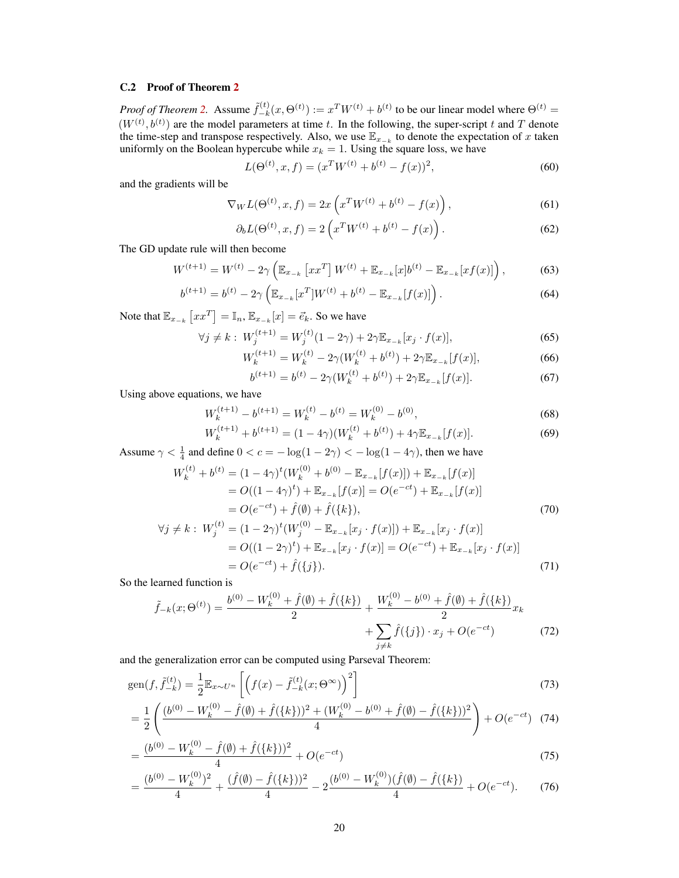## C.2 Proof of Theorem [2](#page-9-2)

*Proof of Theorem [2.](#page-9-2)* Assume  $\tilde{f}_{-k}^{(t)}$  $\mathcal{L}_{-k}^{(t)}(x,\Theta^{(t)}) := x^T W^{(t)} + b^{(t)}$  to be our linear model where  $\Theta^{(t)} =$  $(W^{(t)}, b^{(t)})$  are the model parameters at time t. In the following, the super-script t and T denote the time-step and transpose respectively. Also, we use  $\mathbb{E}_{x_{-k}}$  to denote the expectation of x taken uniformly on the Boolean hypercube while  $x_k = 1$ . Using the square loss, we have

$$
L(\Theta^{(t)}, x, f) = (x^T W^{(t)} + b^{(t)} - f(x))^2,
$$
\n(60)

and the gradients will be

$$
\nabla_W L(\Theta^{(t)}, x, f) = 2x \left( x^T W^{(t)} + b^{(t)} - f(x) \right), \tag{61}
$$

$$
\partial_b L(\Theta^{(t)}, x, f) = 2\left(x^T W^{(t)} + b^{(t)} - f(x)\right). \tag{62}
$$

The GD update rule will then become

$$
W^{(t+1)} = W^{(t)} - 2\gamma \left( \mathbb{E}_{x_{-k}} \left[ x x^T \right] W^{(t)} + \mathbb{E}_{x_{-k}} [x] b^{(t)} - \mathbb{E}_{x_{-k}} [x f(x)] \right), \tag{63}
$$

$$
b^{(t+1)} = b^{(t)} - 2\gamma \left( \mathbb{E}_{x_{-k}}[x^T]W^{(t)} + b^{(t)} - \mathbb{E}_{x_{-k}}[f(x)] \right).
$$
 (64)

Note that  $\mathbb{E}_{x_{-k}}\left[xx^T\right] = \mathbb{I}_n$ ,  $\mathbb{E}_{x_{-k}}[x] = \vec{e}_k$ . So we have

$$
\forall j \neq k: W_j^{(t+1)} = W_j^{(t)}(1 - 2\gamma) + 2\gamma \mathbb{E}_{x_{-k}}[x_j \cdot f(x)],\tag{65}
$$

$$
W_k^{(t+1)} = W_k^{(t)} - 2\gamma (W_k^{(t)} + b^{(t)}) + 2\gamma \mathbb{E}_{x_{-k}}[f(x)],\tag{66}
$$

$$
b^{(t+1)} = b^{(t)} - 2\gamma (W_k^{(t)} + b^{(t)}) + 2\gamma \mathbb{E}_{x_{-k}}[f(x)].
$$
\n(67)

Using above equations, we have

$$
W_k^{(t+1)} - b^{(t+1)} = W_k^{(t)} - b^{(t)} = W_k^{(0)} - b^{(0)},
$$
\n(68)

$$
W_k^{(t+1)} + b^{(t+1)} = (1 - 4\gamma)(W_k^{(t)} + b^{(t)}) + 4\gamma \mathbb{E}_{x_{-k}}[f(x)].
$$
\n(69)

Assume  $\gamma < \frac{1}{4}$  and define  $0 < c = -\log(1 - 2\gamma) < -\log(1 - 4\gamma)$ , then we have

$$
W_k^{(t)} + b^{(t)} = (1 - 4\gamma)^t (W_k^{(0)} + b^{(0)} - \mathbb{E}_{x_{-k}}[f(x)]) + \mathbb{E}_{x_{-k}}[f(x)]
$$
  
=  $O((1 - 4\gamma)^t) + \mathbb{E}_{x_{-k}}[f(x)] = O(e^{-ct}) + \mathbb{E}_{x_{-k}}[f(x)]$   
=  $O(e^{-ct}) + \hat{f}(\emptyset) + \hat{f}(\{k\}),$  (70)

$$
\forall j \neq k: W_j^{(t)} = (1 - 2\gamma)^t (W_j^{(0)} - \mathbb{E}_{x_{-k}}[x_j \cdot f(x)]) + \mathbb{E}_{x_{-k}}[x_j \cdot f(x)]
$$
  
=  $O((1 - 2\gamma)^t) + \mathbb{E}_{x_{-k}}[x_j \cdot f(x)] = O(e^{-ct}) + \mathbb{E}_{x_{-k}}[x_j \cdot f(x)]$   
=  $O(e^{-ct}) + \hat{f}(\{j\}).$  (71)

So the learned function is

$$
\tilde{f}_{-k}(x;\Theta^{(t)}) = \frac{b^{(0)} - W_k^{(0)} + \hat{f}(\emptyset) + \hat{f}(\{k\})}{2} + \frac{W_k^{(0)} - b^{(0)} + \hat{f}(\emptyset) + \hat{f}(\{k\})}{2}x_k
$$

$$
+ \sum_{j \neq k} \hat{f}(\{j\}) \cdot x_j + O(e^{-ct})
$$
(72)

and the generalization error can be computed using Parseval Theorem:

gen
$$
(f, \tilde{f}_{-k}^{(t)}) = \frac{1}{2} \mathbb{E}_{x \sim U^n} \left[ \left( f(x) - \tilde{f}_{-k}^{(t)}(x; \Theta^{\infty}) \right)^2 \right]
$$
 (73)

$$
= \frac{1}{2} \left( \frac{(b^{(0)} - W_k^{(0)} - \hat{f}(\emptyset) + \hat{f}(\{k\}))^2 + (W_k^{(0)} - b^{(0)} + \hat{f}(\emptyset) - \hat{f}(\{k\}))^2}{4} \right) + O(e^{-ct}) \tag{74}
$$

$$
=\frac{(b^{(0)} - W_k^{(0)} - \hat{f}(\emptyset) + \hat{f}(\{k\}))^2}{4} + O(e^{-ct})
$$
\n(75)

$$
=\frac{(b^{(0)} - W_k^{(0)})^2}{4} + \frac{(\hat{f}(\emptyset) - \hat{f}(\{k\}))^2}{4} - 2\frac{(b^{(0)} - W_k^{(0)})(\hat{f}(\emptyset) - \hat{f}(\{k\})}{4} + O(e^{-ct}).
$$
 (76)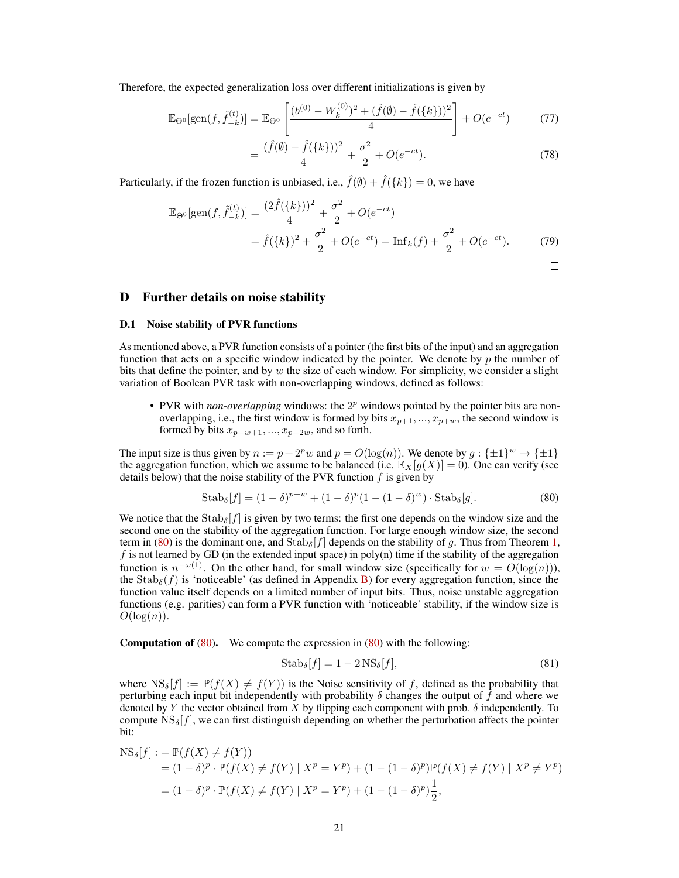Therefore, the expected generalization loss over different initializations is given by

$$
\mathbb{E}_{\Theta^0}[\text{gen}(f, \tilde{f}_{-k}^{(t)})] = \mathbb{E}_{\Theta^0} \left[ \frac{(b^{(0)} - W_k^{(0)})^2 + (\hat{f}(\emptyset) - \hat{f}(\{k\}))^2}{4} \right] + O(e^{-ct}) \tag{77}
$$

$$
=\frac{(\hat{f}(\emptyset) - \hat{f}(\{k\}))^2}{4} + \frac{\sigma^2}{2} + O(e^{-ct}).
$$
\n(78)

Particularly, if the frozen function is unbiased, i.e.,  $\hat{f}(\emptyset) + \hat{f}(\{k\}) = 0$ , we have

$$
\mathbb{E}_{\Theta^0}[\text{gen}(f, \tilde{f}_{-k}^{(t)})] = \frac{(2\hat{f}(\{k\}))^2}{4} + \frac{\sigma^2}{2} + O(e^{-ct})
$$
  
=  $\hat{f}(\{k\})^2 + \frac{\sigma^2}{2} + O(e^{-ct}) = \text{Inf}_k(f) + \frac{\sigma^2}{2} + O(e^{-ct}).$  (79)

## <span id="page-20-0"></span>D Further details on noise stability

#### D.1 Noise stability of PVR functions

As mentioned above, a PVR function consists of a pointer (the first bits of the input) and an aggregation function that acts on a specific window indicated by the pointer. We denote by  $p$  the number of bits that define the pointer, and by  $w$  the size of each window. For simplicity, we consider a slight variation of Boolean PVR task with non-overlapping windows, defined as follows:

 $\bullet$  PVR with *non-overlapping* windows: the  $2^p$  windows pointed by the pointer bits are nonoverlapping, i.e., the first window is formed by bits  $x_{p+1}, ..., x_{p+w}$ , the second window is formed by bits  $x_{p+w+1},..., x_{p+2w}$ , and so forth.

The input size is thus given by  $n := p + 2^p w$  and  $p = O(\log(n))$ . We denote by  $g : \{\pm 1\}^w \to \{\pm 1\}$ the aggregation function, which we assume to be balanced (i.e.  $\mathbb{E}_X[q(X)] = 0$ ). One can verify (see details below) that the noise stability of the PVR function  $f$  is given by

$$
Stab_{\delta}[f] = (1 - \delta)^{p+w} + (1 - \delta)^{p}(1 - (1 - \delta)^{w}) \cdot Stab_{\delta}[g].
$$
\n(80)

We notice that the  $\text{Stab}_{\delta}[f]$  is given by two terms: the first one depends on the window size and the second one on the stability of the aggregation function. For large enough window size, the second term in [\(80\)](#page-20-1) is the dominant one, and  $\text{Stab}_{\delta}[f]$  depends on the stability of g. Thus from Theorem [1,](#page-5-0)  $f$  is not learned by GD (in the extended input space) in poly(n) time if the stability of the aggregation function is  $n^{-\omega(1)}$ . On the other hand, for small window size (specifically for  $w = O(\log(n))$ ), the  $\text{Stab}_{\delta}(f)$  is 'noticeable' (as defined in Appendix [B\)](#page-16-0) for every aggregation function, since the function value itself depends on a limited number of input bits. Thus, noise unstable aggregation functions (e.g. parities) can form a PVR function with 'noticeable' stability, if the window size is  $O(\log(n)).$ 

**Computation of [\(80\)](#page-20-1).** We compute the expression in  $(80)$  with the following:

<span id="page-20-1"></span>
$$
Stab_{\delta}[f] = 1 - 2 \operatorname{NS}_{\delta}[f],\tag{81}
$$

where  $NS_{\delta}[f] := \mathbb{P}(f(X) \neq f(Y))$  is the Noise sensitivity of f, defined as the probability that perturbing each input bit independently with probability  $\delta$  changes the output of  $\hat{f}$  and where we denoted by Y the vector obtained from X by flipping each component with prob.  $\delta$  independently. To compute  $NS_{\delta}[f]$ , we can first distinguish depending on whether the perturbation affects the pointer bit:

$$
NS_{\delta}[f] := \mathbb{P}(f(X) \neq f(Y))
$$
  
=  $(1 - \delta)^p \cdot \mathbb{P}(f(X) \neq f(Y) | X^p = Y^p) + (1 - (1 - \delta)^p) \mathbb{P}(f(X) \neq f(Y) | X^p \neq Y^p)$   
=  $(1 - \delta)^p \cdot \mathbb{P}(f(X) \neq f(Y) | X^p = Y^p) + (1 - (1 - \delta)^p) \frac{1}{2},$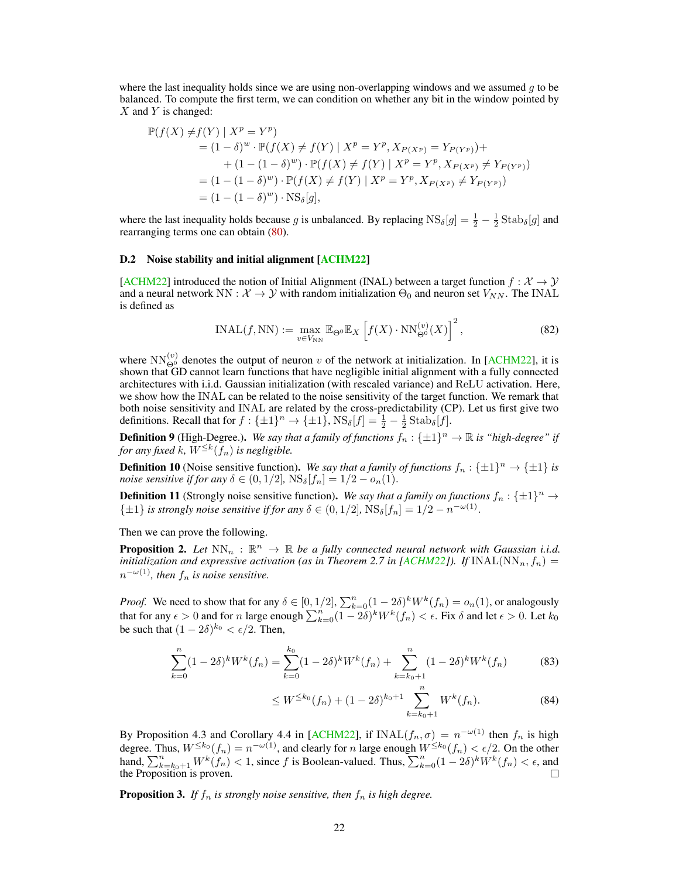<span id="page-21-0"></span>where the last inequality holds since we are using non-overlapping windows and we assumed  $q$  to be balanced. To compute the first term, we can condition on whether any bit in the window pointed by  $X$  and Y is changed:

$$
\mathbb{P}(f(X) \neq f(Y) | X^p = Y^p) \n= (1 - \delta)^w \cdot \mathbb{P}(f(X) \neq f(Y) | X^p = Y^p, X_{P(X^p)} = Y_{P(Y^p)}) + \n+ (1 - (1 - \delta)^w) \cdot \mathbb{P}(f(X) \neq f(Y) | X^p = Y^p, X_{P(X^p)} \neq Y_{P(Y^p)}) \n= (1 - (1 - \delta)^w) \cdot \mathbb{P}(f(X) \neq f(Y) | X^p = Y^p, X_{P(X^p)} \neq Y_{P(Y^p)}) \n= (1 - (1 - \delta)^w) \cdot \text{NS}_{\delta}[g],
$$

where the last inequality holds because g is unbalanced. By replacing  $NS_{\delta}[g] = \frac{1}{2} - \frac{1}{2} \text{Stab}_{\delta}[g]$  and rearranging terms one can obtain [\(80\)](#page-20-1).

#### D.2 Noise stability and initial alignment [\[ACHM22\]](#page-11-5)

[\[ACHM22\]](#page-11-5) introduced the notion of Initial Alignment (INAL) between a target function  $f : \mathcal{X} \to \mathcal{Y}$ and a neural network NN :  $\mathcal{X} \to \mathcal{Y}$  with random initialization  $\Theta_0$  and neuron set  $V_{NN}$ . The INAL is defined as

$$
INAL(f, NN) := \max_{v \in V_{NN}} \mathbb{E}_{\Theta^0} \mathbb{E}_X \left[ f(X) \cdot NN_{\Theta^0}^{(v)}(X) \right]^2, \tag{82}
$$

where  $NN_{\Theta^0}^{(v)}$  denotes the output of neuron v of the network at initialization. In [\[ACHM22\]](#page-11-5), it is shown that GD cannot learn functions that have negligible initial alignment with a fully connected architectures with i.i.d. Gaussian initialization (with rescaled variance) and ReLU activation. Here, we show how the INAL can be related to the noise sensitivity of the target function. We remark that both noise sensitivity and INAL are related by the cross-predictability (CP). Let us first give two definitions. Recall that for  $f: \{\pm 1\}^n \to \{\pm 1\}$ ,  $\text{NS}_{\delta}[f] = \frac{1}{2} - \frac{1}{2} \text{Stab}_{\delta}[f]$ .

**Definition 9** (High-Degree.). We say that a family of functions  $f_n : \{\pm 1\}^n \to \mathbb{R}$  is "high-degree" if for any fixed  $k$ ,  $W^{\leq k}(f_n)$  is negligible.

**Definition 10** (Noise sensitive function). We say that a family of functions  $f_n : \{\pm 1\}^n \to \{\pm 1\}$  is *noise sensitive if for any*  $\delta \in (0, 1/2]$ ,  $\text{NS}_{\delta}[f_n] = 1/2 - o_n(1)$ .

**Definition 11** (Strongly noise sensitive function). We say that a family on functions  $f_n : \{\pm 1\}^n \to$  $\{\pm 1\}$  *is strongly noise sensitive if for any*  $\delta \in (0, 1/2]$ ,  $\text{NS}_{\delta}[f_n] = 1/2 - n^{-\omega(1)}$ .

Then we can prove the following.

**Proposition 2.** Let  $NN_n : \mathbb{R}^n \to \mathbb{R}$  be a fully connected neural network with Gaussian i.i.d. *initialization and expressive activation (as in Theorem 2.7 in [\[ACHM22\]](#page-11-5)).* If  $\text{INAL}(NN_n, f_n)$  =  $n^{-\omega(1)}$ , then  $f_n$  is noise sensitive.

*Proof.* We need to show that for any  $\delta \in [0, 1/2], \sum_{k=0}^{n} (1 - 2\delta)^k W^k(f_n) = o_n(1)$ , or analogously that for any  $\epsilon > 0$  and for n large enough  $\sum_{k=0}^{n} (1-2\delta)^k W^k(f_n) < \epsilon$ . Fix  $\delta$  and let  $\epsilon > 0$ . Let  $k_0$ be such that  $(1 - 2\delta)^{k_0} < \epsilon/2$ . Then,

$$
\sum_{k=0}^{n} (1 - 2\delta)^k W^k(f_n) = \sum_{k=0}^{k_0} (1 - 2\delta)^k W^k(f_n) + \sum_{k=k_0+1}^{n} (1 - 2\delta)^k W^k(f_n)
$$
(83)

$$
\leq W^{\leq k_0}(f_n) + (1 - 2\delta)^{k_0 + 1} \sum_{k=k_0+1}^n W^k(f_n). \tag{84}
$$

By Proposition 4.3 and Corollary 4.4 in [\[ACHM22\]](#page-11-5), if INAL $(f_n, \sigma) = n^{-\omega(1)}$  then  $f_n$  is high degree. Thus,  $W^{\leq k_0}(f_n) = n^{-\omega(1)}$ , and clearly for n large enough  $W^{\leq k_0}(f_n) < \epsilon/2$ . On the other hand,  $\sum_{k=k_0+1}^{n} W^k(f_n) < 1$ , since f is Boolean-valued. Thus,  $\sum_{k=0}^{n} (1-2\delta)^k W^k(f_n) < \epsilon$ , and the Proposition is proven.

**Proposition 3.** If  $f_n$  is strongly noise sensitive, then  $f_n$  is high degree.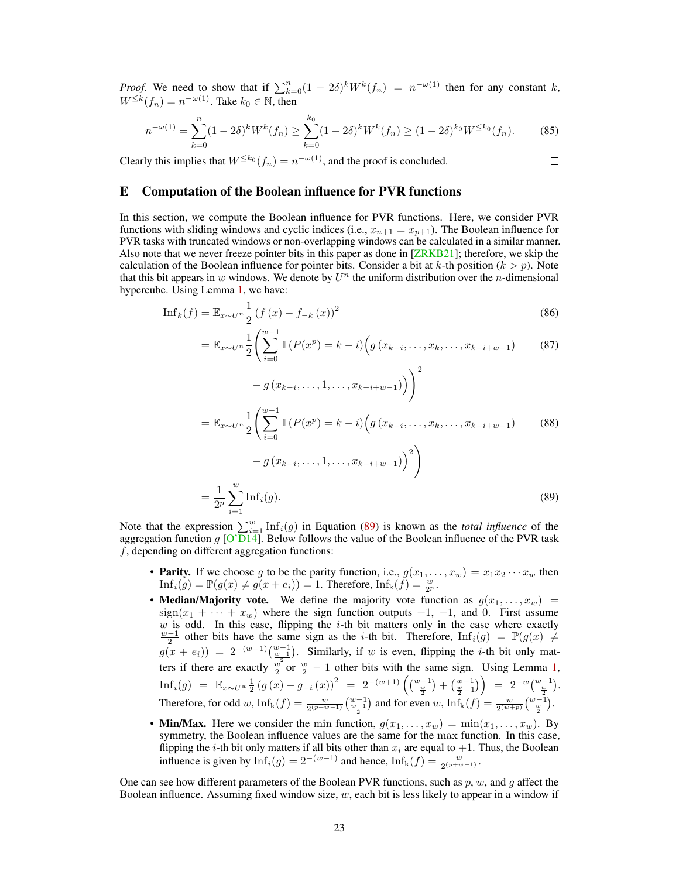<span id="page-22-1"></span>*Proof.* We need to show that if  $\sum_{k=0}^{n} (1 - 2\delta)^k W^k(f_n) = n^{-\omega(1)}$  then for any constant k,  $W^{\leq k}(f_n) = n^{-\omega(1)}$ . Take  $k_0 \in \mathbb{N}$ , then

$$
n^{-\omega(1)} = \sum_{k=0}^{n} (1 - 2\delta)^k W^k(f_n) \ge \sum_{k=0}^{k_0} (1 - 2\delta)^k W^k(f_n) \ge (1 - 2\delta)^{k_0} W^{\le k_0}(f_n). \tag{85}
$$

Clearly this implies that  $W^{\leq k_0}(f_n) = n^{-\omega(1)}$ , and the proof is concluded.

#### $\Box$

# <span id="page-22-0"></span>E Computation of the Boolean influence for PVR functions

In this section, we compute the Boolean influence for PVR functions. Here, we consider PVR functions with sliding windows and cyclic indices (i.e.,  $x_{n+1} = x_{p+1}$ ). The Boolean influence for PVR tasks with truncated windows or non-overlapping windows can be calculated in a similar manner. Also note that we never freeze pointer bits in this paper as done in [\[ZRKB21\]](#page-13-0); therefore, we skip the calculation of the Boolean influence for pointer bits. Consider a bit at k-th position  $(k > p)$ . Note that this bit appears in w windows. We denote by  $U^n$  the uniform distribution over the *n*-dimensional hypercube. Using Lemma [1,](#page-6-0) we have:

$$
\text{Inf}_k(f) = \mathbb{E}_{x \sim U^n} \frac{1}{2} \left( f(x) - f_{-k}(x) \right)^2 \tag{86}
$$

$$
= \mathbb{E}_{x \sim U^{n}} \frac{1}{2} \left( \sum_{i=0}^{w-1} \mathbb{1}(P(x^{p}) = k - i) \left( g(x_{k-i}, \dots, x_{k}, \dots, x_{k-i+w-1}) \right) \right)
$$
(87)

<span id="page-22-2"></span>
$$
-g\left(x_{k-i},\ldots,1,\ldots,x_{k-i+w-1}\right)\bigg)^2
$$

$$
= \mathbb{E}_{x \sim U^n} \frac{1}{2} \left( \sum_{i=0}^{w-1} \mathbb{1}(P(x^p) = k - i) \left( g(x_{k-i}, \dots, x_k, \dots, x_{k-i+w-1}) \right) \right)
$$
(88)

$$
-g(x_{k-i},...,1,...,x_{k-i+w-1})^{2}
$$
  
=  $\frac{1}{2^p} \sum_{i=1}^w \text{Inf}_i(g).$  (89)

Note that the expression  $\sum_{i=1}^{w} \text{Inf}_i(g)$  in Equation [\(89\)](#page-22-2) is known as the *total influence* of the aggregation function g [\[O'D14\]](#page-12-15). Below follows the value of the Boolean influence of the PVR task  $f$ , depending on different aggregation functions:

- Parity. If we choose g to be the parity function, i.e.,  $g(x_1, \ldots, x_w) = x_1 x_2 \cdots x_w$  then  $\text{Inf}_i(g) = \mathbb{P}(g(x) \neq g(x + e_i)) = 1.$  Therefore,  $\text{Inf}_k(f) = \frac{w}{2^p}$ .
- Median/Majority vote. We define the majority vote function as  $g(x_1, \ldots, x_w)$  =  $sign(x_1 + \cdots + x_w)$  where the sign function outputs +1, -1, and 0. First assume w is odd. In this case, flipping the *i*-th bit matters only in the case where exactly  $\frac{w-1}{2}$  other bits have the same sign as the *i*-th bit. Therefore,  $\text{Inf}_i(g) = \mathbb{P}(g(x) \neq g(x))$  $g(x + e_i)$  =  $2^{-(w-1)}\left(\frac{w-1}{\frac{w-1}{2}}\right)$ . Similarly, if w is even, flipping the *i*-th bit only matters if there are exactly  $\frac{w}{2}$  or  $\frac{w}{2} - 1$  other bits with the same sign. Using Lemma [1,](#page-6-0)  $\mathrm{Inf}_i(g) \;\; = \;\; \mathbb{E}_{x \sim U^w} \frac{1}{2} \left( g\left( x \right) - g_{-i} \left( x \right) \right)^2 \;\; = \;\; 2^{-(w+1)} \left( \tbinom{w-1}{\frac{w}{2}} + \tbinom{w-1}{\frac{w}{2}-1} \right) \;\; = \;\; 2^{-w} \tbinom{w-1}{\frac{w}{2}}.$ Therefore, for odd w,  $\text{Inf}_{k}(f) = \frac{w}{2^{(p+w-1)}} \left(\frac{w-1}{2}\right)$  and for even w,  $\text{Inf}_{k}(f) = \frac{w}{2^{(w+p)}} \left(\frac{w-1}{\frac{w}{2}}\right)$ .
- Min/Max. Here we consider the min function,  $g(x_1, \ldots, x_w) = \min(x_1, \ldots, x_w)$ . By symmetry, the Boolean influence values are the same for the max function. In this case, flipping the *i*-th bit only matters if all bits other than  $x_i$  are equal to  $+1$ . Thus, the Boolean influence is given by  $\text{Inf}_i(g) = 2^{-(w-1)}$  and hence,  $\text{Inf}_k(f) = \frac{w}{2^{(p+w-1)}}$ .

One can see how different parameters of the Boolean PVR functions, such as  $p, w$ , and  $q$  affect the Boolean influence. Assuming fixed window size,  $w$ , each bit is less likely to appear in a window if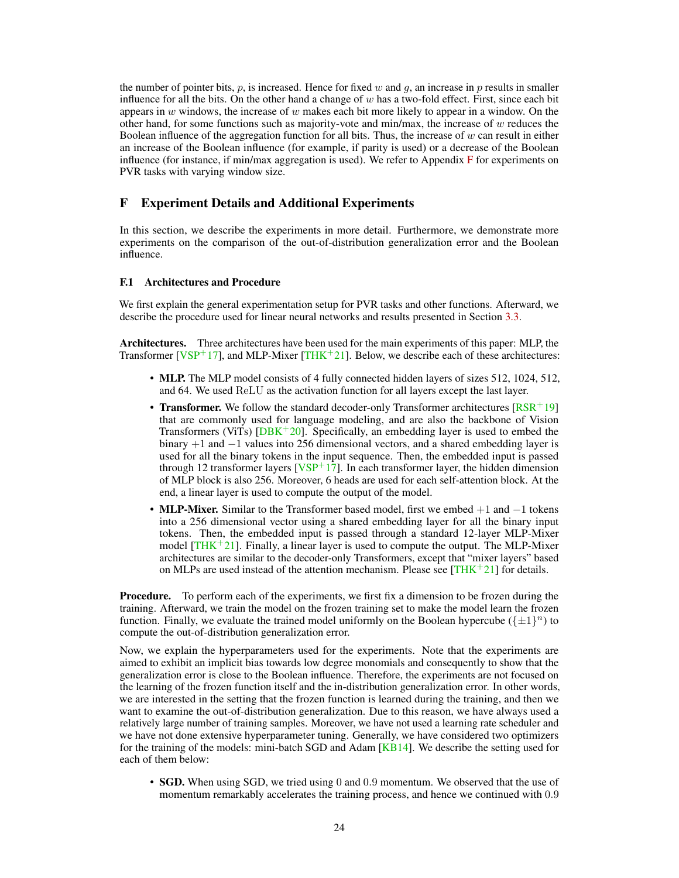<span id="page-23-1"></span>the number of pointer bits, p, is increased. Hence for fixed w and q, an increase in p results in smaller influence for all the bits. On the other hand a change of w has a two-fold effect. First, since each bit appears in w windows, the increase of w makes each bit more likely to appear in a window. On the other hand, for some functions such as majority-vote and min/max, the increase of  $w$  reduces the Boolean influence of the aggregation function for all bits. Thus, the increase of  $w$  can result in either an increase of the Boolean influence (for example, if parity is used) or a decrease of the Boolean influence (for instance, if min/max aggregation is used). We refer to Appendix  $\bf{F}$  $\bf{F}$  $\bf{F}$  for experiments on PVR tasks with varying window size.

# <span id="page-23-0"></span>F Experiment Details and Additional Experiments

In this section, we describe the experiments in more detail. Furthermore, we demonstrate more experiments on the comparison of the out-of-distribution generalization error and the Boolean influence.

## F.1 Architectures and Procedure

We first explain the general experimentation setup for PVR tasks and other functions. Afterward, we describe the procedure used for linear neural networks and results presented in Section [3.3.](#page-9-0)

Architectures. Three architectures have been used for the main experiments of this paper: MLP, the Transformer [ $VSP+17$ ], and MLP-Mixer [\[THK](#page-13-6)+21]. Below, we describe each of these architectures:

- MLP. The MLP model consists of 4 fully connected hidden layers of sizes 512, 1024, 512, and 64. We used ReLU as the activation function for all layers except the last layer.
- Transformer. We follow the standard decoder-only Transformer architectures  $[RSR^+19]$  $[RSR^+19]$ that are commonly used for language modeling, and are also the backbone of Vision Transformers (ViTs)  $[DBK^+20]$  $[DBK^+20]$ . Specifically, an embedding layer is used to embed the binary +1 and −1 values into 256 dimensional vectors, and a shared embedding layer is used for all the binary tokens in the input sequence. Then, the embedded input is passed through 12 transformer layers  $[VSP+17]$  $[VSP+17]$ . In each transformer layer, the hidden dimension of MLP block is also 256. Moreover, 6 heads are used for each self-attention block. At the end, a linear layer is used to compute the output of the model.
- MLP-Mixer. Similar to the Transformer based model, first we embed  $+1$  and  $-1$  tokens into a 256 dimensional vector using a shared embedding layer for all the binary input tokens. Then, the embedded input is passed through a standard 12-layer MLP-Mixer model  $[THK+21]$  $[THK+21]$ . Finally, a linear layer is used to compute the output. The MLP-Mixer architectures are similar to the decoder-only Transformers, except that "mixer layers" based on MLPs are used instead of the attention mechanism. Please see  $[THK^+21]$  $[THK^+21]$  for details.

Procedure. To perform each of the experiments, we first fix a dimension to be frozen during the training. Afterward, we train the model on the frozen training set to make the model learn the frozen function. Finally, we evaluate the trained model uniformly on the Boolean hypercube  $(\{\pm 1\}^n)$  to compute the out-of-distribution generalization error.

Now, we explain the hyperparameters used for the experiments. Note that the experiments are aimed to exhibit an implicit bias towards low degree monomials and consequently to show that the generalization error is close to the Boolean influence. Therefore, the experiments are not focused on the learning of the frozen function itself and the in-distribution generalization error. In other words, we are interested in the setting that the frozen function is learned during the training, and then we want to examine the out-of-distribution generalization. Due to this reason, we have always used a relatively large number of training samples. Moreover, we have not used a learning rate scheduler and we have not done extensive hyperparameter tuning. Generally, we have considered two optimizers for the training of the models: mini-batch SGD and Adam  $[KB14]$ . We describe the setting used for each of them below:

• **SGD.** When using SGD, we tried using 0 and 0.9 momentum. We observed that the use of momentum remarkably accelerates the training process, and hence we continued with 0.9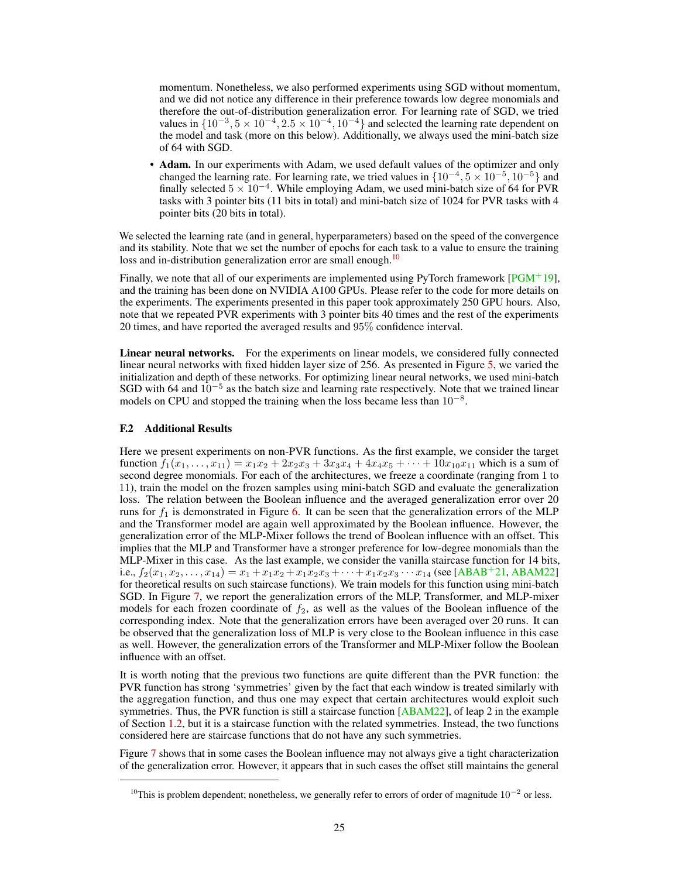<span id="page-24-0"></span>momentum. Nonetheless, we also performed experiments using SGD without momentum, and we did not notice any difference in their preference towards low degree monomials and therefore the out-of-distribution generalization error. For learning rate of SGD, we tried values in  $\{10^{-3}, 5 \times 10^{-4}, 2.5 \times 10^{-4}, 10^{-4}\}$  and selected the learning rate dependent on the model and task (more on this below). Additionally, we always used the mini-batch size of 64 with SGD.

• Adam. In our experiments with Adam, we used default values of the optimizer and only changed the learning rate. For learning rate, we tried values in  $\{10^{-4}, 5 \times 10^{-5}, 10^{-5}\}$  and finally selected  $5 \times 10^{-4}$ . While employing Adam, we used mini-batch size of 64 for PVR tasks with 3 pointer bits (11 bits in total) and mini-batch size of 1024 for PVR tasks with 4 pointer bits (20 bits in total).

We selected the learning rate (and in general, hyperparameters) based on the speed of the convergence and its stability. Note that we set the number of epochs for each task to a value to ensure the training loss and in-distribution generalization error are small enough.<sup>[10](#page-24-1)</sup>

Finally, we note that all of our experiments are implemented using PyTorch framework  $[PGM^+19]$  $[PGM^+19]$ , and the training has been done on NVIDIA A100 GPUs. Please refer to the code for more details on the experiments. The experiments presented in this paper took approximately 250 GPU hours. Also, note that we repeated PVR experiments with 3 pointer bits 40 times and the rest of the experiments 20 times, and have reported the averaged results and 95% confidence interval.

Linear neural networks. For the experiments on linear models, we considered fully connected linear neural networks with fixed hidden layer size of 256. As presented in Figure [5,](#page-10-0) we varied the initialization and depth of these networks. For optimizing linear neural networks, we used mini-batch SGD with 64 and  $10^{-5}$  as the batch size and learning rate respectively. Note that we trained linear models on CPU and stopped the training when the loss became less than  $10^{-8}$ .

## F.2 Additional Results

Here we present experiments on non-PVR functions. As the first example, we consider the target function  $f_1(x_1,...,x_{11}) = x_1x_2 + 2x_2x_3 + 3x_3x_4 + 4x_4x_5 + \cdots + 10x_{10}x_{11}$  which is a sum of second degree monomials. For each of the architectures, we freeze a coordinate (ranging from 1 to 11), train the model on the frozen samples using mini-batch SGD and evaluate the generalization loss. The relation between the Boolean influence and the averaged generalization error over 20 runs for  $f_1$  is demonstrated in Figure [6.](#page-25-0) It can be seen that the generalization errors of the MLP and the Transformer model are again well approximated by the Boolean influence. However, the generalization error of the MLP-Mixer follows the trend of Boolean influence with an offset. This implies that the MLP and Transformer have a stronger preference for low-degree monomials than the MLP-Mixer in this case. As the last example, we consider the vanilla staircase function for 14 bits, i.e.,  $f_2(x_1, x_2, \ldots, x_{14}) = x_1 + x_1x_2 + x_1x_2x_3 + \cdots + x_1x_2x_3 \cdots x_{14}$  (see [\[ABAB](#page-11-12)<sup>+</sup>21, [ABAM22\]](#page-11-13) for theoretical results on such staircase functions). We train models for this function using mini-batch SGD. In Figure [7,](#page-25-1) we report the generalization errors of the MLP, Transformer, and MLP-mixer models for each frozen coordinate of  $f_2$ , as well as the values of the Boolean influence of the corresponding index. Note that the generalization errors have been averaged over 20 runs. It can be observed that the generalization loss of MLP is very close to the Boolean influence in this case as well. However, the generalization errors of the Transformer and MLP-Mixer follow the Boolean influence with an offset.

It is worth noting that the previous two functions are quite different than the PVR function: the PVR function has strong 'symmetries' given by the fact that each window is treated similarly with the aggregation function, and thus one may expect that certain architectures would exploit such symmetries. Thus, the PVR function is still a staircase function  $[ABAM22]$ , of leap 2 in the example of Section [1.2,](#page-2-2) but it is a staircase function with the related symmetries. Instead, the two functions considered here are staircase functions that do not have any such symmetries.

Figure [7](#page-25-1) shows that in some cases the Boolean influence may not always give a tight characterization of the generalization error. However, it appears that in such cases the offset still maintains the general

<span id="page-24-1"></span><sup>&</sup>lt;sup>10</sup>This is problem dependent; nonetheless, we generally refer to errors of order of magnitude  $10^{-2}$  or less.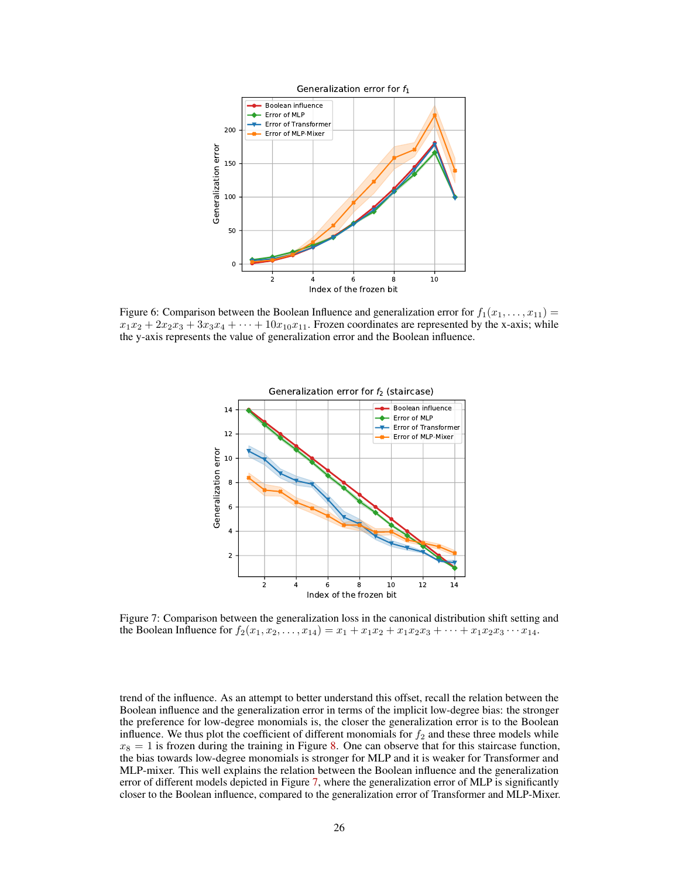<span id="page-25-0"></span>

<span id="page-25-1"></span>Figure 6: Comparison between the Boolean Influence and generalization error for  $f_1(x_1, \ldots, x_{11}) =$  $x_1x_2 + 2x_2x_3 + 3x_3x_4 + \cdots + 10x_{10}x_{11}$ . Frozen coordinates are represented by the x-axis; while the y-axis represents the value of generalization error and the Boolean influence.



Figure 7: Comparison between the generalization loss in the canonical distribution shift setting and the Boolean Influence for  $f_2(x_1, x_2, \ldots, x_{14}) = x_1 + x_1x_2 + x_1x_2x_3 + \cdots + x_1x_2x_3 \cdots x_{14}$ .

trend of the influence. As an attempt to better understand this offset, recall the relation between the Boolean influence and the generalization error in terms of the implicit low-degree bias: the stronger the preference for low-degree monomials is, the closer the generalization error is to the Boolean influence. We thus plot the coefficient of different monomials for  $f_2$  and these three models while  $x_8 = 1$  is frozen during the training in Figure [8.](#page-26-1) One can observe that for this staircase function, the bias towards low-degree monomials is stronger for MLP and it is weaker for Transformer and MLP-mixer. This well explains the relation between the Boolean influence and the generalization error of different models depicted in Figure [7,](#page-25-1) where the generalization error of MLP is significantly closer to the Boolean influence, compared to the generalization error of Transformer and MLP-Mixer.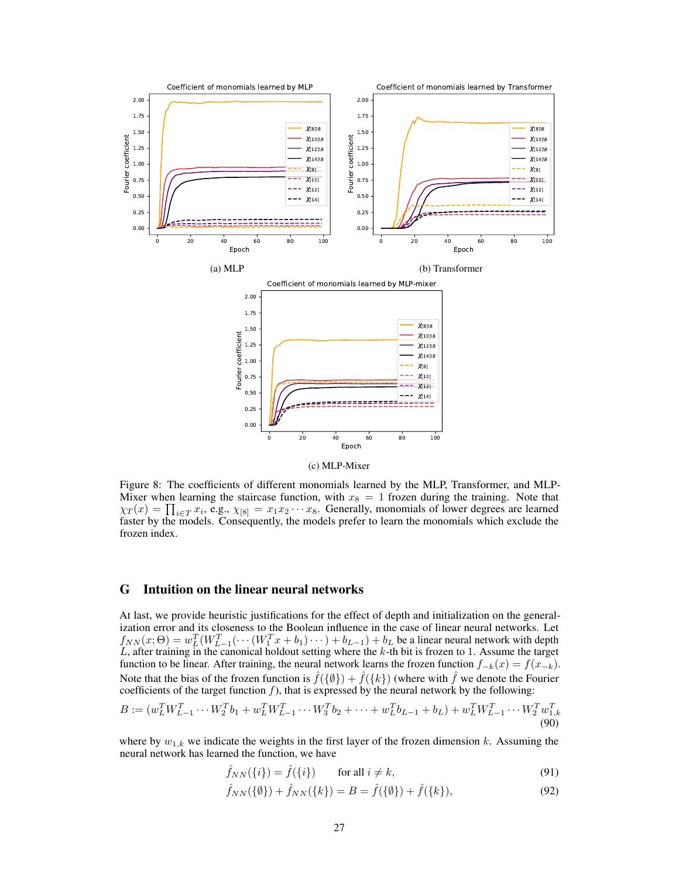<span id="page-26-1"></span>

Figure 8: The coefficients of different monomials learned by the MLP, Transformer, and MLP-Mixer when learning the staircase function, with  $x_8 = 1$  frozen during the training. Note that  $\chi_T(x) = \prod_{i \in T} x_i$ , e.g.,  $\chi_{[8]} = x_1 x_2 \cdots x_8$ . Generally, monomials of lower degrees are learned faster by the models. Consequently, the models prefer to learn the monomials which exclude the frozen index.

# <span id="page-26-0"></span>G Intuition on the linear neural networks

At last, we provide heuristic justifications for the effect of depth and initialization on the generalization error and its closeness to the Boolean influence in the case of linear neural networks. Let  $f_{NN}(x;\Theta) = w_L^T(W_{L-1}^T(\cdots(W_1^Tx + b_1)\cdots) + b_{L-1}) + b_L$  be a linear neural network with depth  $L$ , after training in the canonical holdout setting where the  $k$ -th bit is frozen to 1. Assume the target function to be linear. After training, the neural network learns the frozen function  $f_{-k}(x) = f(x_{-k})$ . Note that the bias of the frozen function is  $\hat{f}(\{\emptyset\}) + \hat{f}(\{k\})$  (where with  $\hat{f}$  we denote the Fourier coefficients of the target function  $f$ ), that is expressed by the neural network by the following:

$$
B := (w_L^T W_{L-1}^T \cdots W_2^T b_1 + w_L^T W_{L-1}^T \cdots W_3^T b_2 + \cdots + w_L^T b_{L-1} + b_L) + w_L^T W_{L-1}^T \cdots W_2^T w_{1,k}^T
$$
\n(90)

where by  $w_{1,k}$  we indicate the weights in the first layer of the frozen dimension k. Assuming the neural network has learned the function, we have

<span id="page-26-2"></span>
$$
\hat{f}_{NN}(\{i\}) = \hat{f}(\{i\}) \qquad \text{for all } i \neq k,
$$
\n(91)

$$
\hat{f}_{NN}(\{\emptyset\}) + \hat{f}_{NN}(\{k\}) = B = \hat{f}(\{\emptyset\}) + \hat{f}(\{k\}),\tag{92}
$$